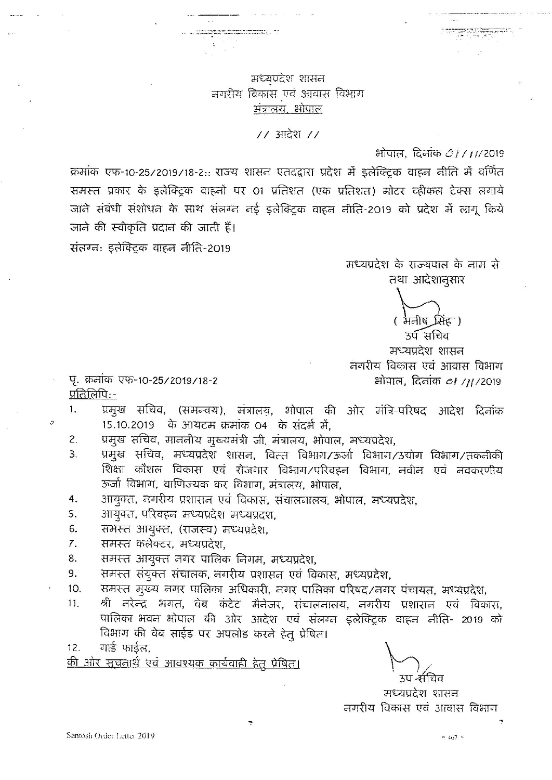### मध्यप्रदेश शासन नगरीय विकास एवं आवास विभाग मंत्रालय, भोपाल

 $11$  आदेश  $11$ 

### भोपाल, दिनांक *01711*/2019

क्रमांक एफ-10-25/2019/18-2.. राज्य शासन एतदद्वारा प्रदेश में इलेक्ट्रिक वाहन नीति में वर्णित समस्त प्रकार के इलेक्ट्रिक वाहनों पर 01 प्रतिशत (एक प्रतिशत) मोटर व्हीकल टेक्स लगाये जाने संबंधी संशोधन के साथ संलग्न नई इलेक्ट्रिक वाहन नीति-2019 को प्रदेश में लागू किये जाने की स्वीकृति प्रदान की जाती हैं।

संत्रग्न: इलेक्ट्रिक वाहन नीति-2019

मध्यप्रदेश के राज्यपाल के नाम से तथा आदेशानुसार

( मनीष सिंहा)

उर्प सचिव मध्यप्रदेश शासन नगरीय विकास एवं आवास विभाग भोपाल, दिनांक *ा /11*/2019

पृ. क्रमांक एफ-10-25/2019/18-2 प्रतिलिपि:-

 $\sigma$ 

- प्रमुख सचिव, (समन्वय), मंत्रालय, भोपाल की ओर मंत्रि-परिषद आदेश दिनांक 1. 15.10.2019 के आयटम क्रमांक 04 के संदर्भ में,
- प्रमुख सचिव, माननीय मुख्यमंत्री जी, मंत्रालय, भोपाल, मध्यप्रदेश, 2.
- प्रमुख सचिव, मध्यप्रदेश शासन, वित्त विभाग/ऊर्जा विभाग/उद्योग विभाग/तकनीकी 3. शिक्षा कौशल विकास एवं रोजगार विभाग/परिवहन विभाग, नवीन एवं नवकरणीय ऊर्जा विभाग, वाणिज्यक कर विभाग, मंत्रालय, भोपाल,
- आयुक्त, नगरीय प्रशासन एवं विकास, संचालनालय, भोपाल, मध्यप्रदेश,  $4.$
- आयुक्त, परिवहन मध्यप्रदेश मध्यप्रदर्श, 5.
- 6. समस्त आयुक्त, (राजस्व) मध्यप्रदेश,
- समस्त कलेक्टर, मध्यप्रदेश,  $\mathcal{Z}$ .
- समस्त आयुक्त नगर पालिक निगम, मध्यप्रदेश, 8.
- समस्त संयुक्त संचालक, नगरीय प्रशासन एवं विकास, मध्यप्रदेश, 9.
- समस्त मुख्य नगर पालिका अधिकारी, नगर पालिका परिषद/नगर पंचायत, मध्यप्रदेश,  $10.$
- श्री नरेन्द्र भगत, वेब कंटेट मैनेजर, संचालनालय, नगरीय प्रशासन एवं विकास,  $11.$ पालिका भवन भोपाल की ओर आदेश एवं संलग्न इलेक्ट्रिक वाहन नीति- 2019 को विभाग की वेब साईड पर अपलोड करते हेतु प्रेषित।
- गार्ड फार्डल.  $12.$

<u>की ओर सूचनार्थ एवं आवश्यक कार्यवाही हेतु प्रेषित।</u>

मध्यप्रदेश शासन नगरीय विकास एवं आवास विभाग

 $-467 -$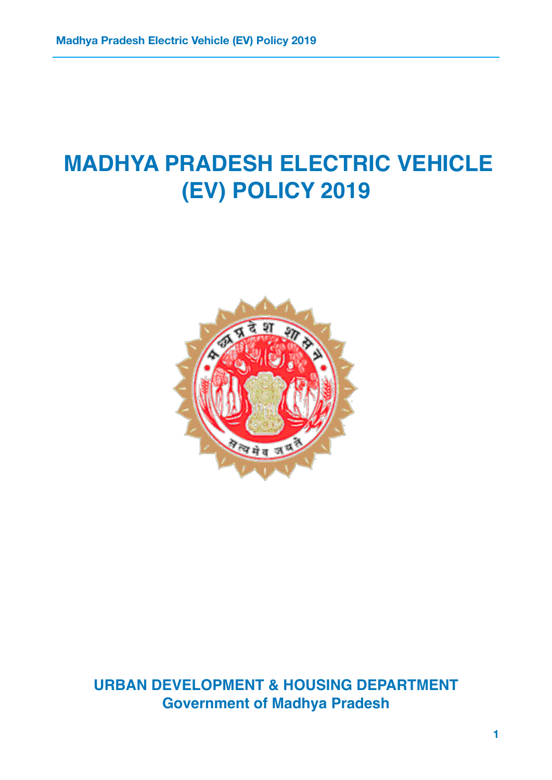# **MADHYA PRADESH ELECTRIC VEHICLE (EV) POLICY 2019**



**URBAN DEVELOPMENT & HOUSING DEPARTMENT Government of Madhya Pradesh**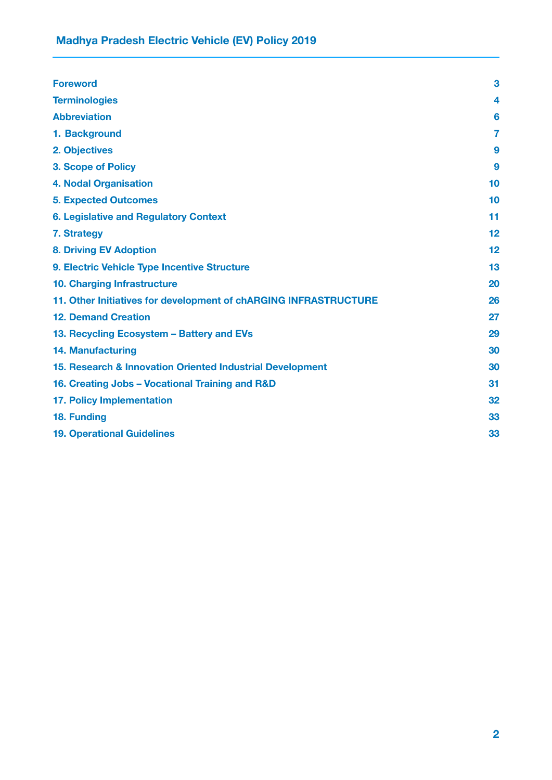<span id="page-2-0"></span>

| <b>Foreword</b>                                                  | 3  |
|------------------------------------------------------------------|----|
| <b>Terminologies</b>                                             | 4  |
| <b>Abbreviation</b>                                              | 6  |
| 1. Background                                                    | 7  |
| 2. Objectives                                                    | 9  |
| <b>3. Scope of Policy</b>                                        | 9  |
| <b>4. Nodal Organisation</b>                                     | 10 |
| <b>5. Expected Outcomes</b>                                      | 10 |
| <b>6. Legislative and Regulatory Context</b>                     | 11 |
| 7. Strategy                                                      | 12 |
| <b>8. Driving EV Adoption</b>                                    | 12 |
| 9. Electric Vehicle Type Incentive Structure                     | 13 |
| 10. Charging Infrastructure                                      | 20 |
| 11. Other Initiatives for development of chARGING INFRASTRUCTURE | 26 |
| <b>12. Demand Creation</b>                                       | 27 |
| 13. Recycling Ecosystem - Battery and EVs                        | 29 |
| <b>14. Manufacturing</b>                                         | 30 |
| 15. Research & Innovation Oriented Industrial Development        | 30 |
| 16. Creating Jobs - Vocational Training and R&D                  | 31 |
| <b>17. Policy Implementation</b>                                 | 32 |
| 18. Funding                                                      | 33 |
| <b>19. Operational Guidelines</b>                                | 33 |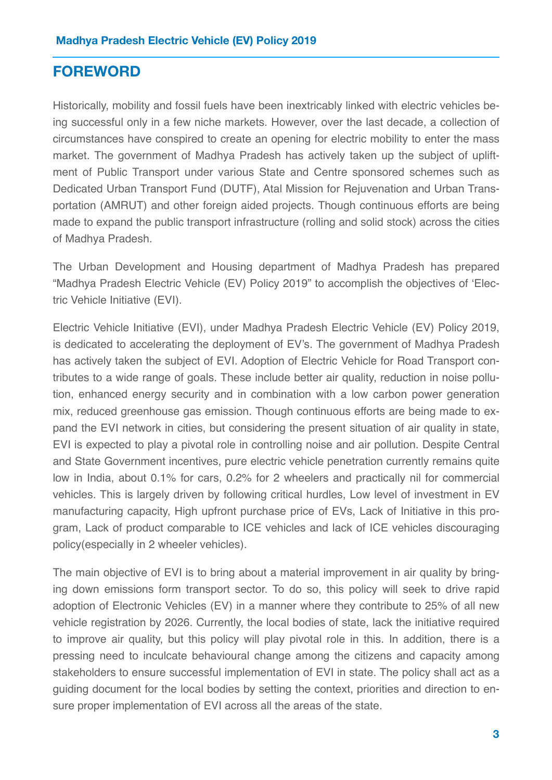# **FOREWORD**

<span id="page-3-0"></span>Historically, mobility and fossil fuels have been inextricably linked with electric vehicles being successful only in a few niche markets. However, over the last decade, a collection of circumstances have conspired to create an opening for electric mobility to enter the mass market. The government of Madhya Pradesh has actively taken up the subject of upliftment of Public Transport under various State and Centre sponsored schemes such as Dedicated Urban Transport Fund (DUTF), Atal Mission for Rejuvenation and Urban Transportation (AMRUT) and other foreign aided projects. Though continuous efforts are being made to expand the public transport infrastructure (rolling and solid stock) across the cities of Madhya Pradesh.

The Urban Development and Housing department of Madhya Pradesh has prepared "Madhya Pradesh Electric Vehicle (EV) Policy 2019" to accomplish the objectives of 'Electric Vehicle Initiative (EVI).

Electric Vehicle Initiative (EVI), under Madhya Pradesh Electric Vehicle (EV) Policy 2019, is dedicated to accelerating the deployment of EV's. The government of Madhya Pradesh has actively taken the subject of EVI. Adoption of Electric Vehicle for Road Transport contributes to a wide range of goals. These include better air quality, reduction in noise pollution, enhanced energy security and in combination with a low carbon power generation mix, reduced greenhouse gas emission. Though continuous efforts are being made to expand the EVI network in cities, but considering the present situation of air quality in state, EVI is expected to play a pivotal role in controlling noise and air pollution. Despite Central and State Government incentives, pure electric vehicle penetration currently remains quite low in India, about 0.1% for cars, 0.2% for 2 wheelers and practically nil for commercial vehicles. This is largely driven by following critical hurdles, Low level of investment in EV manufacturing capacity, High upfront purchase price of EVs, Lack of Initiative in this program, Lack of product comparable to ICE vehicles and lack of ICE vehicles discouraging policy(especially in 2 wheeler vehicles).

The main objective of EVI is to bring about a material improvement in air quality by bringing down emissions form transport sector. To do so, this policy will seek to drive rapid adoption of Electronic Vehicles (EV) in a manner where they contribute to 25% of all new vehicle registration by 2026. Currently, the local bodies of state, lack the initiative required to improve air quality, but this policy will play pivotal role in this. In addition, there is a pressing need to inculcate behavioural change among the citizens and capacity among stakeholders to ensure successful implementation of EVI in state. The policy shall act as a guiding document for the local bodies by setting the context, priorities and direction to ensure proper implementation of EVI across all the areas of the state.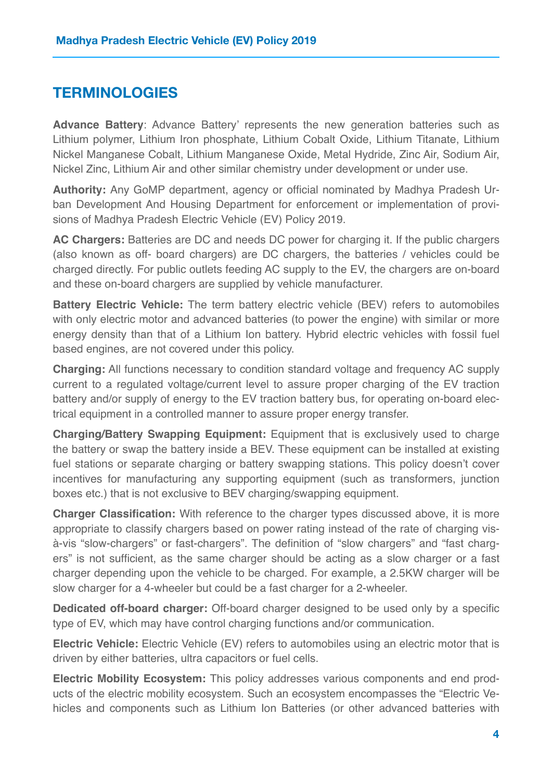# **TERMINOLOGIES**

**Advance Battery**: Advance Battery' represents the new generation batteries such as Lithium polymer, Lithium Iron phosphate, Lithium Cobalt Oxide, Lithium Titanate, Lithium Nickel Manganese Cobalt, Lithium Manganese Oxide, Metal Hydride, Zinc Air, Sodium Air, Nickel Zinc, Lithium Air and other similar chemistry under development or under use.

**Authority:** Any GoMP department, agency or official nominated by Madhya Pradesh Urban Development And Housing Department for enforcement or implementation of provisions of Madhya Pradesh Electric Vehicle (EV) Policy 2019.

**AC Chargers:** Batteries are DC and needs DC power for charging it. If the public chargers (also known as off- board chargers) are DC chargers, the batteries / vehicles could be charged directly. For public outlets feeding AC supply to the EV, the chargers are on-board and these on-board chargers are supplied by vehicle manufacturer.

**Battery Electric Vehicle:** The term battery electric vehicle (BEV) refers to automobiles with only electric motor and advanced batteries (to power the engine) with similar or more energy density than that of a Lithium Ion battery. Hybrid electric vehicles with fossil fuel based engines, are not covered under this policy.

**Charging:** All functions necessary to condition standard voltage and frequency AC supply current to a regulated voltage/current level to assure proper charging of the EV traction battery and/or supply of energy to the EV traction battery bus, for operating on-board electrical equipment in a controlled manner to assure proper energy transfer.

**Charging/Battery Swapping Equipment:** Equipment that is exclusively used to charge the battery or swap the battery inside a BEV. These equipment can be installed at existing fuel stations or separate charging or battery swapping stations. This policy doesn't cover incentives for manufacturing any supporting equipment (such as transformers, junction boxes etc.) that is not exclusive to BEV charging/swapping equipment.

**Charger Classification:** With reference to the charger types discussed above, it is more appropriate to classify chargers based on power rating instead of the rate of charging visà-vis "slow-chargers" or fast-chargers". The definition of "slow chargers" and "fast chargers" is not sufficient, as the same charger should be acting as a slow charger or a fast charger depending upon the vehicle to be charged. For example, a 2.5KW charger will be slow charger for a 4-wheeler but could be a fast charger for a 2-wheeler.

**Dedicated off-board charger:** Off-board charger designed to be used only by a specific type of EV, which may have control charging functions and/or communication.

**Electric Vehicle:** Electric Vehicle (EV) refers to automobiles using an electric motor that is driven by either batteries, ultra capacitors or fuel cells.

**Electric Mobility Ecosystem:** This policy addresses various components and end products of the electric mobility ecosystem. Such an ecosystem encompasses the "Electric Vehicles and components such as Lithium Ion Batteries (or other advanced batteries with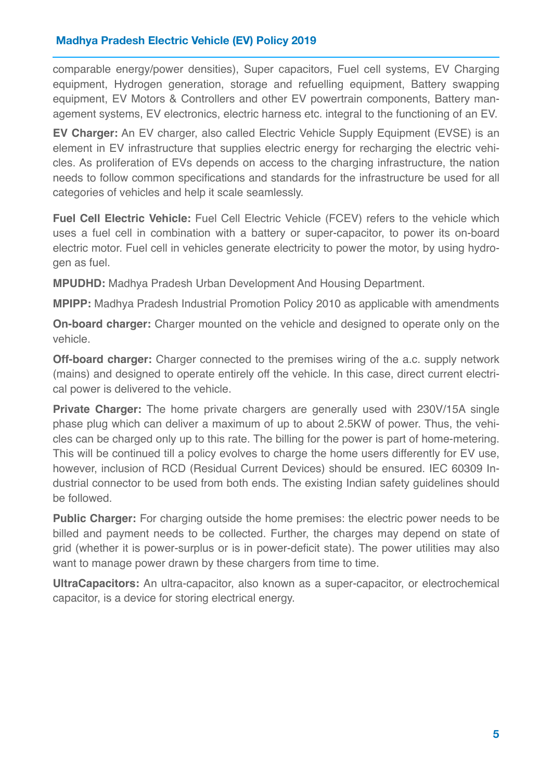<span id="page-5-0"></span>comparable energy/power densities), Super capacitors, Fuel cell systems, EV Charging equipment, Hydrogen generation, storage and refuelling equipment, Battery swapping equipment, EV Motors & Controllers and other EV powertrain components, Battery management systems, EV electronics, electric harness etc. integral to the functioning of an EV.

**EV Charger:** An EV charger, also called Electric Vehicle Supply Equipment (EVSE) is an element in EV infrastructure that supplies electric energy for recharging the electric vehicles. As proliferation of EVs depends on access to the charging infrastructure, the nation needs to follow common specifications and standards for the infrastructure be used for all categories of vehicles and help it scale seamlessly.

**Fuel Cell Electric Vehicle:** Fuel Cell Electric Vehicle (FCEV) refers to the vehicle which uses a fuel cell in combination with a battery or super-capacitor, to power its on-board electric motor. Fuel cell in vehicles generate electricity to power the motor, by using hydrogen as fuel.

**MPUDHD:** Madhya Pradesh Urban Development And Housing Department.

**MPIPP:** Madhya Pradesh Industrial Promotion Policy 2010 as applicable with amendments

**On-board charger:** Charger mounted on the vehicle and designed to operate only on the vehicle.

**Off-board charger:** Charger connected to the premises wiring of the a.c. supply network (mains) and designed to operate entirely off the vehicle. In this case, direct current electrical power is delivered to the vehicle.

**Private Charger:** The home private chargers are generally used with 230V/15A single phase plug which can deliver a maximum of up to about 2.5KW of power. Thus, the vehicles can be charged only up to this rate. The billing for the power is part of home-metering. This will be continued till a policy evolves to charge the home users differently for EV use, however, inclusion of RCD (Residual Current Devices) should be ensured. IEC 60309 Industrial connector to be used from both ends. The existing Indian safety guidelines should be followed.

**Public Charger:** For charging outside the home premises: the electric power needs to be billed and payment needs to be collected. Further, the charges may depend on state of grid (whether it is power-surplus or is in power-deficit state). The power utilities may also want to manage power drawn by these chargers from time to time.

**UltraCapacitors:** An ultra-capacitor, also known as a super-capacitor, or electrochemical capacitor, is a device for storing electrical energy.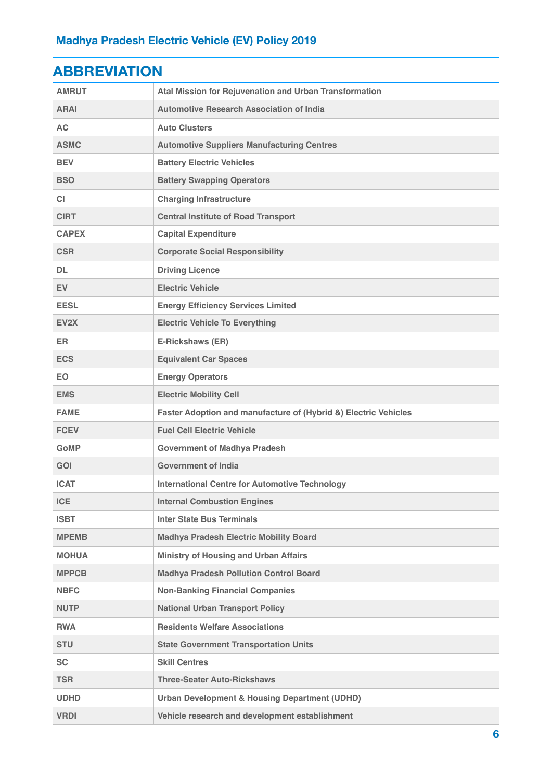| ADDNLYMIUN        |                                                                 |
|-------------------|-----------------------------------------------------------------|
| <b>AMRUT</b>      | Atal Mission for Rejuvenation and Urban Transformation          |
| <b>ARAI</b>       | <b>Automotive Research Association of India</b>                 |
| <b>AC</b>         | <b>Auto Clusters</b>                                            |
| <b>ASMC</b>       | <b>Automotive Suppliers Manufacturing Centres</b>               |
| <b>BEV</b>        | <b>Battery Electric Vehicles</b>                                |
| <b>BSO</b>        | <b>Battery Swapping Operators</b>                               |
| <b>CI</b>         | <b>Charging Infrastructure</b>                                  |
| <b>CIRT</b>       | <b>Central Institute of Road Transport</b>                      |
| <b>CAPEX</b>      | <b>Capital Expenditure</b>                                      |
| <b>CSR</b>        | <b>Corporate Social Responsibility</b>                          |
| DL                | <b>Driving Licence</b>                                          |
| <b>EV</b>         | <b>Electric Vehicle</b>                                         |
| <b>EESL</b>       | <b>Energy Efficiency Services Limited</b>                       |
| EV <sub>2</sub> X | <b>Electric Vehicle To Everything</b>                           |
| ER.               | E-Rickshaws (ER)                                                |
| <b>ECS</b>        | <b>Equivalent Car Spaces</b>                                    |
| <b>EO</b>         | <b>Energy Operators</b>                                         |
| <b>EMS</b>        | <b>Electric Mobility Cell</b>                                   |
| <b>FAME</b>       | Faster Adoption and manufacture of (Hybrid &) Electric Vehicles |
| <b>FCEV</b>       | <b>Fuel Cell Electric Vehicle</b>                               |
| <b>GoMP</b>       | <b>Government of Madhya Pradesh</b>                             |
| <b>GOI</b>        | <b>Government of India</b>                                      |
| <b>ICAT</b>       | <b>International Centre for Automotive Technology</b>           |
| <b>ICE</b>        | <b>Internal Combustion Engines</b>                              |
| <b>ISBT</b>       | <b>Inter State Bus Terminals</b>                                |
| <b>MPEMB</b>      | <b>Madhya Pradesh Electric Mobility Board</b>                   |
| <b>MOHUA</b>      | <b>Ministry of Housing and Urban Affairs</b>                    |
| <b>MPPCB</b>      | <b>Madhya Pradesh Pollution Control Board</b>                   |
| <b>NBFC</b>       | <b>Non-Banking Financial Companies</b>                          |
| <b>NUTP</b>       | <b>National Urban Transport Policy</b>                          |
| <b>RWA</b>        | <b>Residents Welfare Associations</b>                           |
| <b>STU</b>        | <b>State Government Transportation Units</b>                    |
| <b>SC</b>         | <b>Skill Centres</b>                                            |
| <b>TSR</b>        | <b>Three-Seater Auto-Rickshaws</b>                              |
| <b>UDHD</b>       | <b>Urban Development &amp; Housing Department (UDHD)</b>        |
| <b>VRDI</b>       | Vehicle research and development establishment                  |

# <span id="page-6-0"></span>**ABBREVIATION**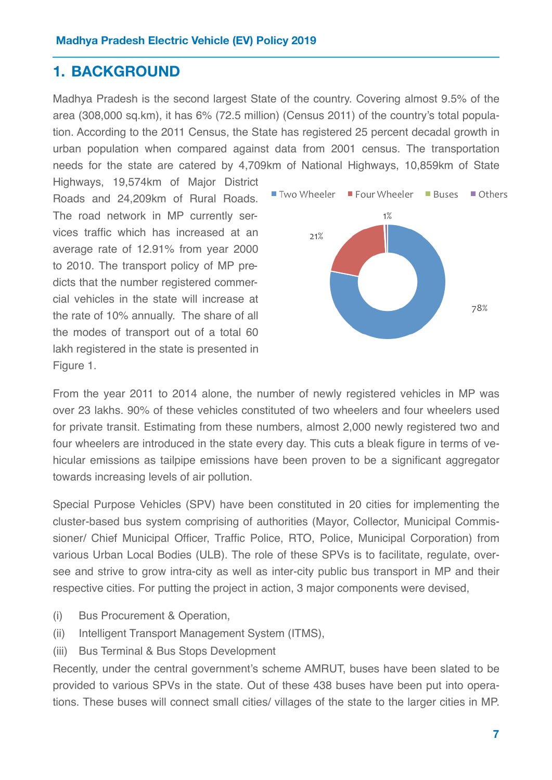# **1. BACKGROUND**

Madhya Pradesh is the second largest State of the country. Covering almost 9.5% of the area (308,000 sq.km), it has 6% (72.5 million) (Census 2011) of the country's total population. According to the 2011 Census, the State has registered 25 percent decadal growth in urban population when compared against data from 2001 census. The transportation needs for the state are catered by 4,709km of National Highways, 10,859km of State

Highways, 19,574km of Major District Roads and 24,209km of Rural Roads. The road network in MP currently services traffic which has increased at an average rate of 12.91% from year 2000 to 2010. The transport policy of MP predicts that the number registered commercial vehicles in the state will increase at the rate of 10% annually. The share of all the modes of transport out of a total 60 lakh registered in the state is presented in Figure 1.



From the year 2011 to 2014 alone, the number of newly registered vehicles in MP was over 23 lakhs. 90% of these vehicles constituted of two wheelers and four wheelers used for private transit. Estimating from these numbers, almost 2,000 newly registered two and four wheelers are introduced in the state every day. This cuts a bleak figure in terms of vehicular emissions as tailpipe emissions have been proven to be a significant aggregator towards increasing levels of air pollution.

Special Purpose Vehicles (SPV) have been constituted in 20 cities for implementing the cluster-based bus system comprising of authorities (Mayor, Collector, Municipal Commissioner/ Chief Municipal Officer, Traffic Police, RTO, Police, Municipal Corporation) from various Urban Local Bodies (ULB). The role of these SPVs is to facilitate, regulate, oversee and strive to grow intra-city as well as inter-city public bus transport in MP and their respective cities. For putting the project in action, 3 major components were devised,

- (i) Bus Procurement & Operation,
- (ii) Intelligent Transport Management System (ITMS),
- (iii) Bus Terminal & Bus Stops Development

Recently, under the central government's scheme AMRUT, buses have been slated to be provided to various SPVs in the state. Out of these 438 buses have been put into operations. These buses will connect small cities/ villages of the state to the larger cities in MP.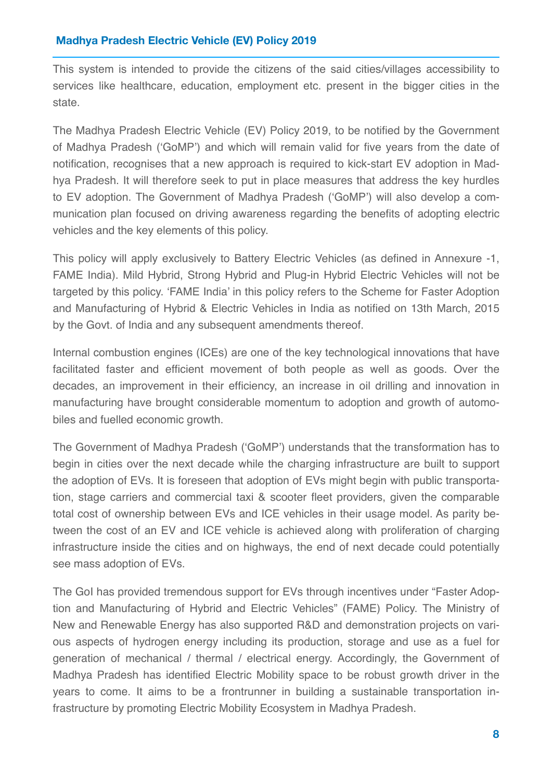<span id="page-8-0"></span>This system is intended to provide the citizens of the said cities/villages accessibility to services like healthcare, education, employment etc. present in the bigger cities in the state.

The Madhya Pradesh Electric Vehicle (EV) Policy 2019, to be notified by the Government of Madhya Pradesh ('GoMP') and which will remain valid for five years from the date of notification, recognises that a new approach is required to kick-start EV adoption in Madhya Pradesh. It will therefore seek to put in place measures that address the key hurdles to EV adoption. The Government of Madhya Pradesh ('GoMP') will also develop a communication plan focused on driving awareness regarding the benefits of adopting electric vehicles and the key elements of this policy.

This policy will apply exclusively to Battery Electric Vehicles (as defined in Annexure -1, FAME India). Mild Hybrid, Strong Hybrid and Plug-in Hybrid Electric Vehicles will not be targeted by this policy. 'FAME India' in this policy refers to the Scheme for Faster Adoption and Manufacturing of Hybrid & Electric Vehicles in India as notified on 13th March, 2015 by the Govt. of India and any subsequent amendments thereof.

<span id="page-8-1"></span>Internal combustion engines (ICEs) are one of the key technological innovations that have facilitated faster and efficient movement of both people as well as goods. Over the decades, an improvement in their efficiency, an increase in oil drilling and innovation in manufacturing have brought considerable momentum to adoption and growth of automobiles and fuelled economic growth.

The Government of Madhya Pradesh ('GoMP') understands that the transformation has to begin in cities over the next decade while the charging infrastructure are built to support the adoption of EVs. It is foreseen that adoption of EVs might begin with public transportation, stage carriers and commercial taxi & scooter fleet providers, given the comparable total cost of ownership between EVs and ICE vehicles in their usage model. As parity between the cost of an EV and ICE vehicle is achieved along with proliferation of charging infrastructure inside the cities and on highways, the end of next decade could potentially see mass adoption of EVs.

The GoI has provided tremendous support for EVs through incentives under "Faster Adoption and Manufacturing of Hybrid and Electric Vehicles" (FAME) Policy. The Ministry of New and Renewable Energy has also supported R&D and demonstration projects on various aspects of hydrogen energy including its production, storage and use as a fuel for generation of mechanical / thermal / electrical energy. Accordingly, the Government of Madhya Pradesh has identified Electric Mobility space to be robust growth driver in the years to come. It aims to be a frontrunner in building a sustainable transportation infrastructure by promoting Electric Mobility Ecosystem in Madhya Pradesh.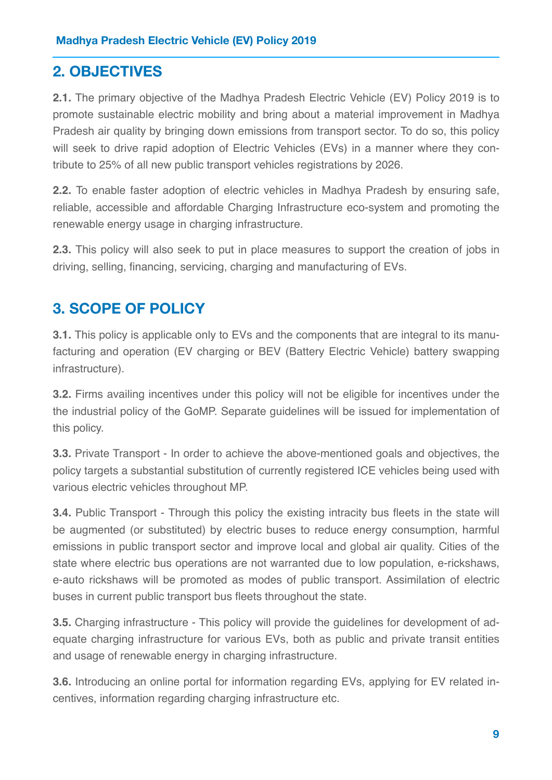# **2. OBJECTIVES**

<span id="page-9-0"></span>**2.1.** The primary objective of the Madhya Pradesh Electric Vehicle (EV) Policy 2019 is to promote sustainable electric mobility and bring about a material improvement in Madhya Pradesh air quality by bringing down emissions from transport sector. To do so, this policy will seek to drive rapid adoption of Electric Vehicles (EVs) in a manner where they contribute to 25% of all new public transport vehicles registrations by 2026.

**2.2.** To enable faster adoption of electric vehicles in Madhya Pradesh by ensuring safe, reliable, accessible and affordable Charging Infrastructure eco-system and promoting the renewable energy usage in charging infrastructure.

**2.3.** This policy will also seek to put in place measures to support the creation of jobs in driving, selling, financing, servicing, charging and manufacturing of EVs.

# <span id="page-9-1"></span>**3. SCOPE OF POLICY**

**3.1.** This policy is applicable only to EVs and the components that are integral to its manufacturing and operation (EV charging or BEV (Battery Electric Vehicle) battery swapping infrastructure).

**3.2.** Firms availing incentives under this policy will not be eligible for incentives under the the industrial policy of the GoMP. Separate guidelines will be issued for implementation of this policy.

**3.3.** Private Transport - In order to achieve the above-mentioned goals and objectives, the policy targets a substantial substitution of currently registered ICE vehicles being used with various electric vehicles throughout MP.

**3.4.** Public Transport - Through this policy the existing intracity bus fleets in the state will be augmented (or substituted) by electric buses to reduce energy consumption, harmful emissions in public transport sector and improve local and global air quality. Cities of the state where electric bus operations are not warranted due to low population, e-rickshaws, e-auto rickshaws will be promoted as modes of public transport. Assimilation of electric buses in current public transport bus fleets throughout the state.

**3.5.** Charging infrastructure - This policy will provide the guidelines for development of adequate charging infrastructure for various EVs, both as public and private transit entities and usage of renewable energy in charging infrastructure.

**3.6.** Introducing an online portal for information regarding EVs, applying for EV related incentives, information regarding charging infrastructure etc.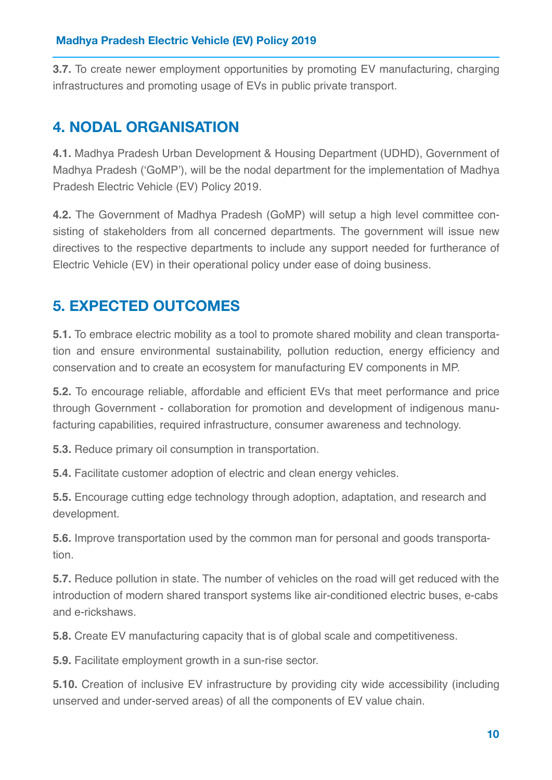**3.7.** To create newer employment opportunities by promoting EV manufacturing, charging infrastructures and promoting usage of EVs in public private transport.

# **4. NODAL ORGANISATION**

**4.1.** Madhya Pradesh Urban Development & Housing Department (UDHD), Government of Madhya Pradesh ('GoMP'), will be the nodal department for the implementation of Madhya Pradesh Electric Vehicle (EV) Policy 2019.

<span id="page-10-0"></span>**4.2.** The Government of Madhya Pradesh (GoMP) will setup a high level committee consisting of stakeholders from all concerned departments. The government will issue new directives to the respective departments to include any support needed for furtherance of Electric Vehicle (EV) in their operational policy under ease of doing business.

# **5. EXPECTED OUTCOMES**

**5.1.** To embrace electric mobility as a tool to promote shared mobility and clean transportation and ensure environmental sustainability, pollution reduction, energy efficiency and conservation and to create an ecosystem for manufacturing EV components in MP.

**5.2.** To encourage reliable, affordable and efficient EVs that meet performance and price through Government - collaboration for promotion and development of indigenous manufacturing capabilities, required infrastructure, consumer awareness and technology.

**5.3.** Reduce primary oil consumption in transportation.

**5.4.** Facilitate customer adoption of electric and clean energy vehicles.

**5.5.** Encourage cutting edge technology through adoption, adaptation, and research and development.

**5.6.** Improve transportation used by the common man for personal and goods transportation.

**5.7.** Reduce pollution in state. The number of vehicles on the road will get reduced with the introduction of modern shared transport systems like air-conditioned electric buses, e-cabs and e-rickshaws.

**5.8.** Create EV manufacturing capacity that is of global scale and competitiveness.

**5.9.** Facilitate employment growth in a sun-rise sector.

**5.10.** Creation of inclusive EV infrastructure by providing city wide accessibility (including unserved and under-served areas) of all the components of EV value chain.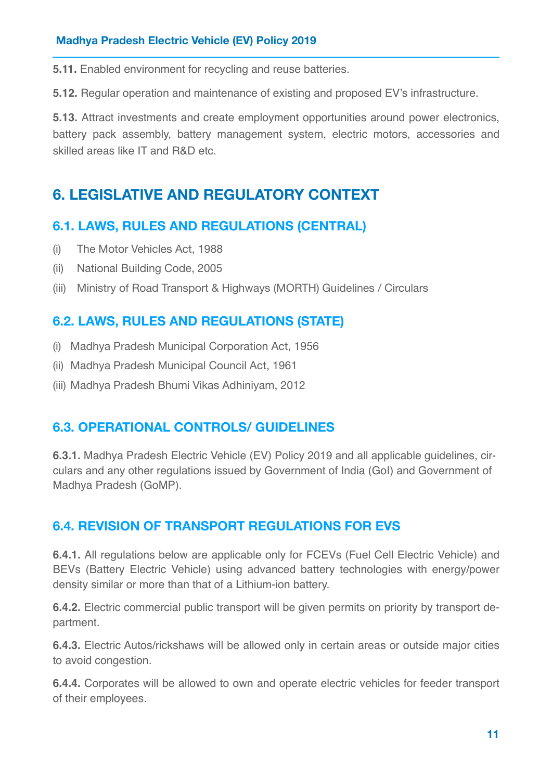**5.11.** Enabled environment for recycling and reuse batteries.

**5.12.** Regular operation and maintenance of existing and proposed EV's infrastructure.

**5.13.** Attract investments and create employment opportunities around power electronics, battery pack assembly, battery management system, electric motors, accessories and skilled areas like IT and R&D etc.

# **6. LEGISLATIVE AND REGULATORY CONTEXT**

### **6.1. LAWS, RULES AND REGULATIONS (CENTRAL)**

- <span id="page-11-0"></span>(i) The Motor Vehicles Act, 1988
- (ii) National Building Code, 2005
- (iii) Ministry of Road Transport & Highways (MORTH) Guidelines / Circulars

### **6.2. LAWS, RULES AND REGULATIONS (STATE)**

- (i) Madhya Pradesh Municipal Corporation Act, 1956
- (ii) Madhya Pradesh Municipal Council Act, 1961
- (iii) Madhya Pradesh Bhumi Vikas Adhiniyam, 2012

### **6.3. OPERATIONAL CONTROLS/ GUIDELINES**

<span id="page-11-1"></span>**6.3.1.** Madhya Pradesh Electric Vehicle (EV) Policy 2019 and all applicable guidelines, circulars and any other regulations issued by Government of India (GoI) and Government of Madhya Pradesh (GoMP).

# **6.4. REVISION OF TRANSPORT REGULATIONS FOR EVS**

**6.4.1.** All regulations below are applicable only for FCEVs (Fuel Cell Electric Vehicle) and BEVs (Battery Electric Vehicle) using advanced battery technologies with energy/power density similar or more than that of a Lithium-ion battery.

**6.4.2.** Electric commercial public transport will be given permits on priority by transport department.

**6.4.3.** Electric Autos/rickshaws will be allowed only in certain areas or outside major cities to avoid congestion.

**6.4.4.** Corporates will be allowed to own and operate electric vehicles for feeder transport of their employees.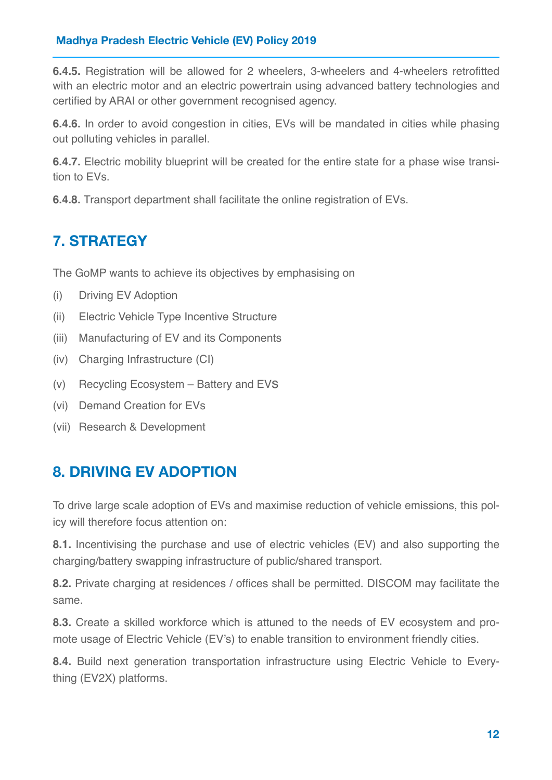<span id="page-12-0"></span>**6.4.5.** Registration will be allowed for 2 wheelers, 3-wheelers and 4-wheelers retrofitted with an electric motor and an electric powertrain using advanced battery technologies and certified by ARAI or other government recognised agency.

**6.4.6.** In order to avoid congestion in cities, EVs will be mandated in cities while phasing out polluting vehicles in parallel.

**6.4.7.** Electric mobility blueprint will be created for the entire state for a phase wise transition to EVs.

**6.4.8.** Transport department shall facilitate the online registration of EVs.

# **7. STRATEGY**

The GoMP wants to achieve its objectives by emphasising on

- (i) Driving EV Adoption
- (ii) Electric Vehicle Type Incentive Structure
- (iii) Manufacturing of EV and its Components
- (iv) Charging Infrastructure (CI)
- (v) Recycling Ecosystem Battery and EVs
- (vi) Demand Creation for EVs
- (vii) Research & Development

# **8. DRIVING EV ADOPTION**

To drive large scale adoption of EVs and maximise reduction of vehicle emissions, this policy will therefore focus attention on:

**8.1.** Incentivising the purchase and use of electric vehicles (EV) and also supporting the charging/battery swapping infrastructure of public/shared transport.

**8.2.** Private charging at residences / offices shall be permitted. DISCOM may facilitate the same.

**8.3.** Create a skilled workforce which is attuned to the needs of EV ecosystem and promote usage of Electric Vehicle (EV's) to enable transition to environment friendly cities.

**8.4.** Build next generation transportation infrastructure using Electric Vehicle to Everything (EV2X) platforms.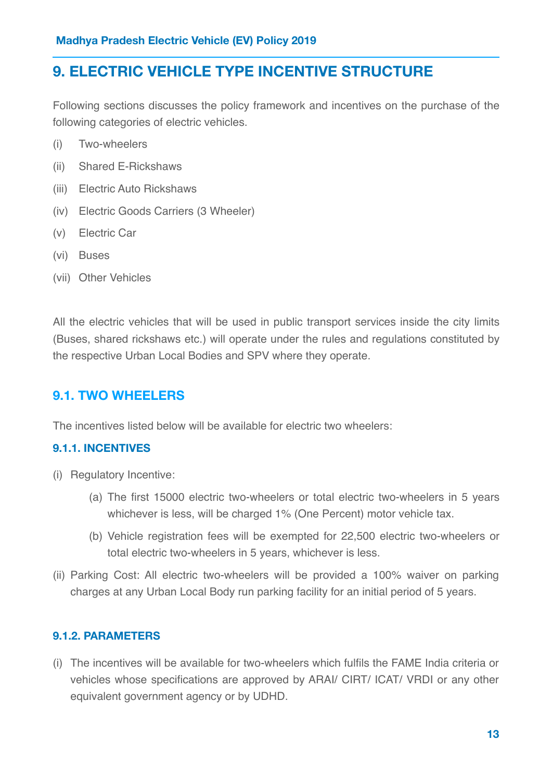# **9. ELECTRIC VEHICLE TYPE INCENTIVE STRUCTURE**

Following sections discusses the policy framework and incentives on the purchase of the following categories of electric vehicles.

- (i) Two-wheelers
- (ii) Shared E-Rickshaws
- (iii) Electric Auto Rickshaws
- (iv) Electric Goods Carriers (3 Wheeler)
- (v) Electric Car
- (vi) Buses
- (vii) Other Vehicles

All the electric vehicles that will be used in public transport services inside the city limits (Buses, shared rickshaws etc.) will operate under the rules and regulations constituted by the respective Urban Local Bodies and SPV where they operate.

### **9.1. TWO WHEELERS**

The incentives listed below will be available for electric two wheelers:

#### **9.1.1. INCENTIVES**

- (i) Regulatory Incentive:
	- (a) The first 15000 electric two-wheelers or total electric two-wheelers in 5 years whichever is less, will be charged 1% (One Percent) motor vehicle tax.
	- (b) Vehicle registration fees will be exempted for 22,500 electric two-wheelers or total electric two-wheelers in 5 years, whichever is less.
- (ii) Parking Cost: All electric two-wheelers will be provided a 100% waiver on parking charges at any Urban Local Body run parking facility for an initial period of 5 years.

#### **9.1.2. PARAMETERS**

(i) The incentives will be available for two-wheelers which fulfils the FAME India criteria or vehicles whose specifications are approved by ARAI/ CIRT/ ICAT/ VRDI or any other equivalent government agency or by UDHD.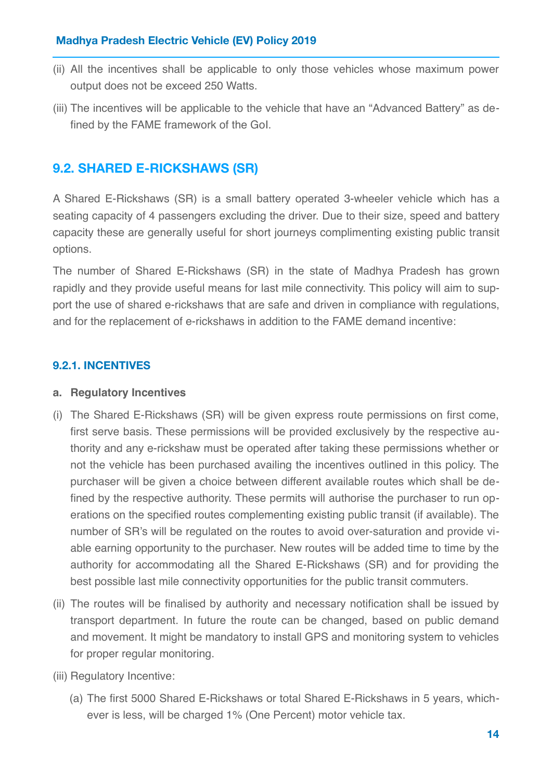- (ii) All the incentives shall be applicable to only those vehicles whose maximum power output does not be exceed 250 Watts.
- (iii) The incentives will be applicable to the vehicle that have an "Advanced Battery" as defined by the FAME framework of the GoI.

# **9.2. SHARED E-RICKSHAWS (SR)**

A Shared E-Rickshaws (SR) is a small battery operated 3-wheeler vehicle which has a seating capacity of 4 passengers excluding the driver. Due to their size, speed and battery capacity these are generally useful for short journeys complimenting existing public transit options.

The number of Shared E-Rickshaws (SR) in the state of Madhya Pradesh has grown rapidly and they provide useful means for last mile connectivity. This policy will aim to support the use of shared e-rickshaws that are safe and driven in compliance with regulations, and for the replacement of e-rickshaws in addition to the FAME demand incentive:

### **9.2.1. INCENTIVES**

#### **a. Regulatory Incentives**

- (i) The Shared E-Rickshaws (SR) will be given express route permissions on first come, first serve basis. These permissions will be provided exclusively by the respective authority and any e-rickshaw must be operated after taking these permissions whether or not the vehicle has been purchased availing the incentives outlined in this policy. The purchaser will be given a choice between different available routes which shall be defined by the respective authority. These permits will authorise the purchaser to run operations on the specified routes complementing existing public transit (if available). The number of SR's will be regulated on the routes to avoid over-saturation and provide viable earning opportunity to the purchaser. New routes will be added time to time by the authority for accommodating all the Shared E-Rickshaws (SR) and for providing the best possible last mile connectivity opportunities for the public transit commuters.
- (ii) The routes will be finalised by authority and necessary notification shall be issued by transport department. In future the route can be changed, based on public demand and movement. It might be mandatory to install GPS and monitoring system to vehicles for proper regular monitoring.
- (iii) Regulatory Incentive:
	- (a) The first 5000 Shared E-Rickshaws or total Shared E-Rickshaws in 5 years, whichever is less, will be charged 1% (One Percent) motor vehicle tax.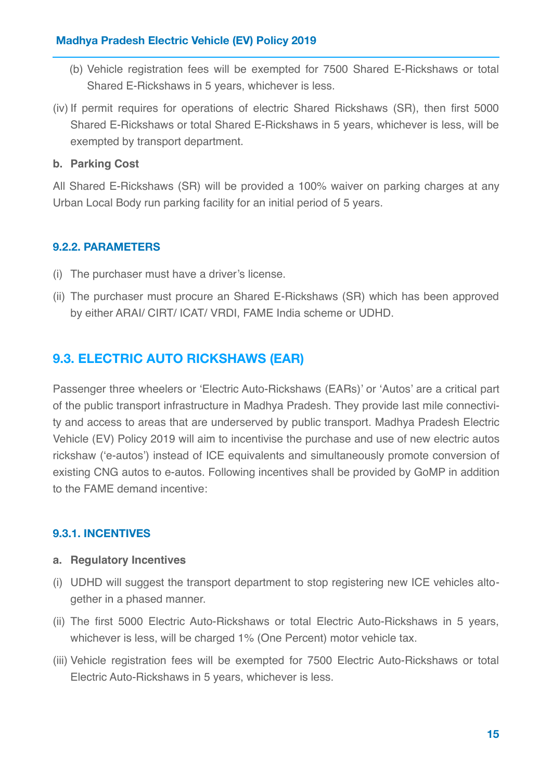- (b) Vehicle registration fees will be exempted for 7500 Shared E-Rickshaws or total Shared E-Rickshaws in 5 years, whichever is less.
- (iv) If permit requires for operations of electric Shared Rickshaws (SR), then first 5000 Shared E-Rickshaws or total Shared E-Rickshaws in 5 years, whichever is less, will be exempted by transport department.

#### **b. Parking Cost**

All Shared E-Rickshaws (SR) will be provided a 100% waiver on parking charges at any Urban Local Body run parking facility for an initial period of 5 years.

### **9.2.2. PARAMETERS**

- (i) The purchaser must have a driver's license.
- (ii) The purchaser must procure an Shared E-Rickshaws (SR) which has been approved by either ARAI/ CIRT/ ICAT/ VRDI, FAME India scheme or UDHD.

### **9.3. ELECTRIC AUTO RICKSHAWS (EAR)**

Passenger three wheelers or 'Electric Auto-Rickshaws (EARs)' or 'Autos' are a critical part of the public transport infrastructure in Madhya Pradesh. They provide last mile connectivity and access to areas that are underserved by public transport. Madhya Pradesh Electric Vehicle (EV) Policy 2019 will aim to incentivise the purchase and use of new electric autos rickshaw ('e-autos') instead of ICE equivalents and simultaneously promote conversion of existing CNG autos to e-autos. Following incentives shall be provided by GoMP in addition to the FAME demand incentive:

#### **9.3.1. INCENTIVES**

#### **a. Regulatory Incentives**

- (i) UDHD will suggest the transport department to stop registering new ICE vehicles altogether in a phased manner.
- (ii) The first 5000 Electric Auto-Rickshaws or total Electric Auto-Rickshaws in 5 years, whichever is less, will be charged 1% (One Percent) motor vehicle tax.
- (iii) Vehicle registration fees will be exempted for 7500 Electric Auto-Rickshaws or total Electric Auto-Rickshaws in 5 years, whichever is less.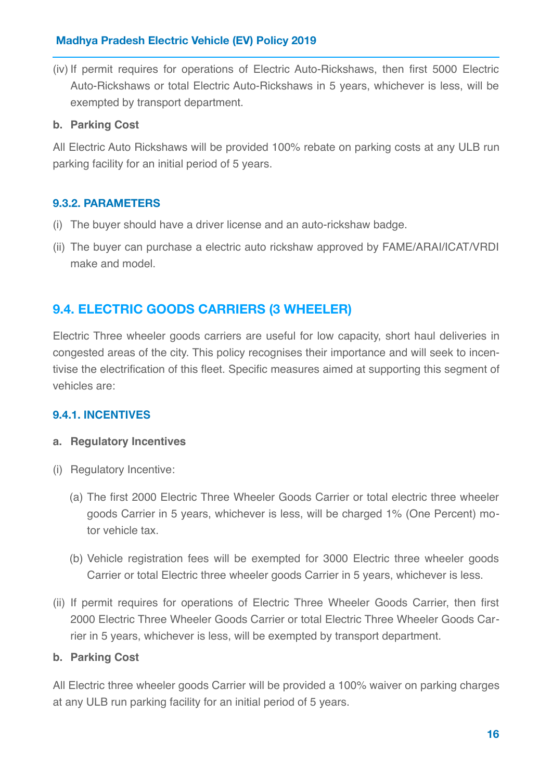(iv) If permit requires for operations of Electric Auto-Rickshaws, then first 5000 Electric Auto-Rickshaws or total Electric Auto-Rickshaws in 5 years, whichever is less, will be exempted by transport department.

#### **b. Parking Cost**

All Electric Auto Rickshaws will be provided 100% rebate on parking costs at any ULB run parking facility for an initial period of 5 years.

### **9.3.2. PARAMETERS**

- (i) The buyer should have a driver license and an auto-rickshaw badge.
- (ii) The buyer can purchase a electric auto rickshaw approved by FAME/ARAI/ICAT/VRDI make and model

### **9.4. ELECTRIC GOODS CARRIERS (3 WHEELER)**

Electric Three wheeler goods carriers are useful for low capacity, short haul deliveries in congested areas of the city. This policy recognises their importance and will seek to incentivise the electrification of this fleet. Specific measures aimed at supporting this segment of vehicles are:

#### **9.4.1. INCENTIVES**

#### **a. Regulatory Incentives**

- (i) Regulatory Incentive:
	- (a) The first 2000 Electric Three Wheeler Goods Carrier or total electric three wheeler goods Carrier in 5 years, whichever is less, will be charged 1% (One Percent) motor vehicle tax.
	- (b) Vehicle registration fees will be exempted for 3000 Electric three wheeler goods Carrier or total Electric three wheeler goods Carrier in 5 years, whichever is less.
- (ii) If permit requires for operations of Electric Three Wheeler Goods Carrier, then first 2000 Electric Three Wheeler Goods Carrier or total Electric Three Wheeler Goods Carrier in 5 years, whichever is less, will be exempted by transport department.

#### **b. Parking Cost**

All Electric three wheeler goods Carrier will be provided a 100% waiver on parking charges at any ULB run parking facility for an initial period of 5 years.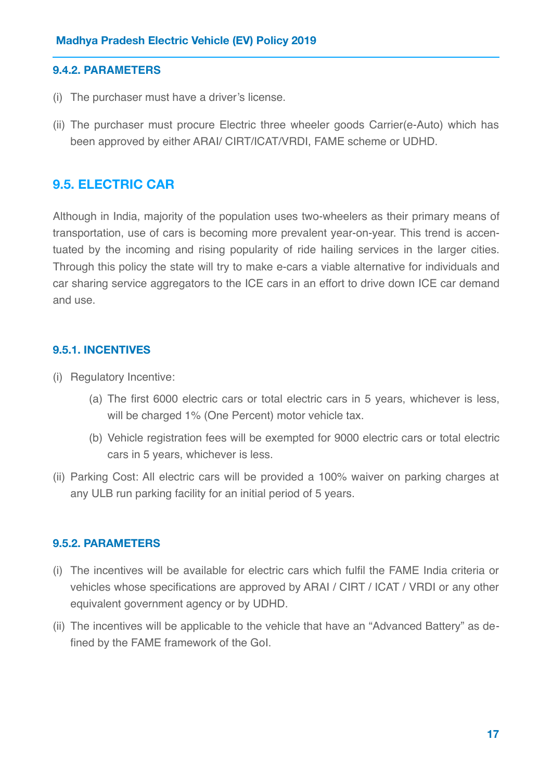#### **9.4.2. PARAMETERS**

- (i) The purchaser must have a driver's license.
- (ii) The purchaser must procure Electric three wheeler goods Carrier(e-Auto) which has been approved by either ARAI/ CIRT/ICAT/VRDI, FAME scheme or UDHD.

### **9.5. ELECTRIC CAR**

Although in India, majority of the population uses two-wheelers as their primary means of transportation, use of cars is becoming more prevalent year-on-year. This trend is accentuated by the incoming and rising popularity of ride hailing services in the larger cities. Through this policy the state will try to make e-cars a viable alternative for individuals and car sharing service aggregators to the ICE cars in an effort to drive down ICE car demand and use.

#### **9.5.1. INCENTIVES**

- (i) Regulatory Incentive:
	- (a) The first 6000 electric cars or total electric cars in 5 years, whichever is less, will be charged 1% (One Percent) motor vehicle tax.
	- (b) Vehicle registration fees will be exempted for 9000 electric cars or total electric cars in 5 years, whichever is less.
- (ii) Parking Cost: All electric cars will be provided a 100% waiver on parking charges at any ULB run parking facility for an initial period of 5 years.

#### **9.5.2. PARAMETERS**

- (i) The incentives will be available for electric cars which fulfil the FAME India criteria or vehicles whose specifications are approved by ARAI / CIRT / ICAT / VRDI or any other equivalent government agency or by UDHD.
- (ii) The incentives will be applicable to the vehicle that have an "Advanced Battery" as defined by the FAME framework of the GoI.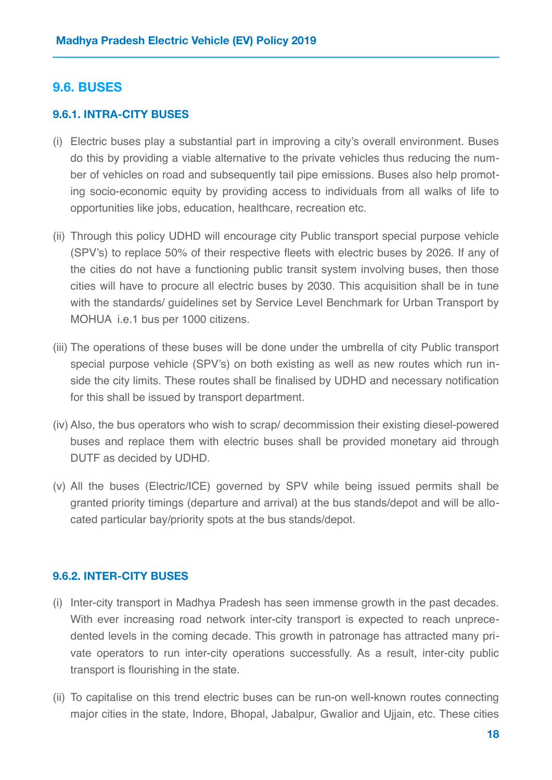### **9.6. BUSES**

#### **9.6.1. INTRA-CITY BUSES**

- (i) Electric buses play a substantial part in improving a city's overall environment. Buses do this by providing a viable alternative to the private vehicles thus reducing the number of vehicles on road and subsequently tail pipe emissions. Buses also help promoting socio-economic equity by providing access to individuals from all walks of life to opportunities like jobs, education, healthcare, recreation etc.
- (ii) Through this policy UDHD will encourage city Public transport special purpose vehicle (SPV's) to replace 50% of their respective fleets with electric buses by 2026. If any of the cities do not have a functioning public transit system involving buses, then those cities will have to procure all electric buses by 2030. This acquisition shall be in tune with the standards/ guidelines set by Service Level Benchmark for Urban Transport by MOHUA i.e.1 bus per 1000 citizens.
- (iii) The operations of these buses will be done under the umbrella of city Public transport special purpose vehicle (SPV's) on both existing as well as new routes which run inside the city limits. These routes shall be finalised by UDHD and necessary notification for this shall be issued by transport department.
- (iv) Also, the bus operators who wish to scrap/ decommission their existing diesel-powered buses and replace them with electric buses shall be provided monetary aid through DUTF as decided by UDHD.
- (v) All the buses (Electric/ICE) governed by SPV while being issued permits shall be granted priority timings (departure and arrival) at the bus stands/depot and will be allocated particular bay/priority spots at the bus stands/depot.

#### **9.6.2. INTER-CITY BUSES**

- (i) Inter-city transport in Madhya Pradesh has seen immense growth in the past decades. With ever increasing road network inter-city transport is expected to reach unprecedented levels in the coming decade. This growth in patronage has attracted many private operators to run inter-city operations successfully. As a result, inter-city public transport is flourishing in the state.
- (ii) To capitalise on this trend electric buses can be run-on well-known routes connecting major cities in the state, Indore, Bhopal, Jabalpur, Gwalior and Ujjain, etc. These cities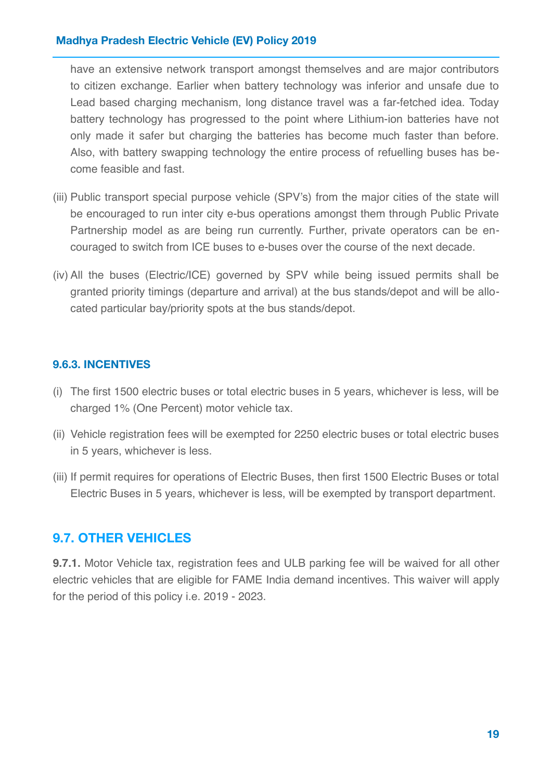<span id="page-19-0"></span>have an extensive network transport amongst themselves and are major contributors to citizen exchange. Earlier when battery technology was inferior and unsafe due to Lead based charging mechanism, long distance travel was a far-fetched idea. Today battery technology has progressed to the point where Lithium-ion batteries have not only made it safer but charging the batteries has become much faster than before. Also, with battery swapping technology the entire process of refuelling buses has become feasible and fast.

- (iii) Public transport special purpose vehicle (SPV's) from the major cities of the state will be encouraged to run inter city e-bus operations amongst them through Public Private Partnership model as are being run currently. Further, private operators can be encouraged to switch from ICE buses to e-buses over the course of the next decade.
- (iv) All the buses (Electric/ICE) governed by SPV while being issued permits shall be granted priority timings (departure and arrival) at the bus stands/depot and will be allocated particular bay/priority spots at the bus stands/depot.

#### **9.6.3. INCENTIVES**

- (i) The first 1500 electric buses or total electric buses in 5 years, whichever is less, will be charged 1% (One Percent) motor vehicle tax.
- (ii) Vehicle registration fees will be exempted for 2250 electric buses or total electric buses in 5 years, whichever is less.
- (iii) If permit requires for operations of Electric Buses, then first 1500 Electric Buses or total Electric Buses in 5 years, whichever is less, will be exempted by transport department.

### **9.7. OTHER VEHICLES**

**9.7.1.** Motor Vehicle tax, registration fees and ULB parking fee will be waived for all other electric vehicles that are eligible for FAME India demand incentives. This waiver will apply for the period of this policy i.e. 2019 - 2023.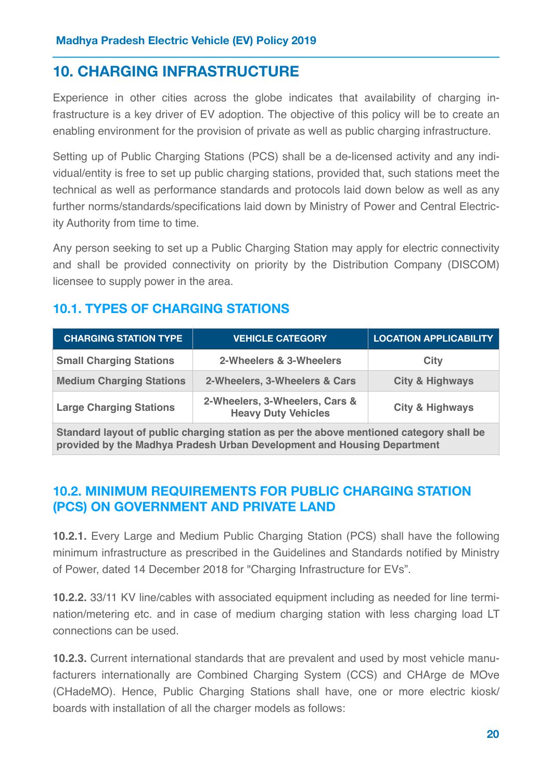# **10. CHARGING INFRASTRUCTURE**

Experience in other cities across the globe indicates that availability of charging infrastructure is a key driver of EV adoption. The objective of this policy will be to create an enabling environment for the provision of private as well as public charging infrastructure.

Setting up of Public Charging Stations (PCS) shall be a de-licensed activity and any individual/entity is free to set up public charging stations, provided that, such stations meet the technical as well as performance standards and protocols laid down below as well as any further norms/standards/specifications laid down by Ministry of Power and Central Electricity Authority from time to time.

Any person seeking to set up a Public Charging Station may apply for electric connectivity and shall be provided connectivity on priority by the Distribution Company (DISCOM) licensee to supply power in the area.

# **10.1. TYPES OF CHARGING STATIONS**

| <b>CHARGING STATION TYPE</b>                                                                                                                                       | <b>VEHICLE CATEGORY</b>                                      | <b>LOCATION APPLICABILITY</b> |  |  |
|--------------------------------------------------------------------------------------------------------------------------------------------------------------------|--------------------------------------------------------------|-------------------------------|--|--|
| <b>Small Charging Stations</b>                                                                                                                                     | 2-Wheelers & 3-Wheelers                                      | City                          |  |  |
| <b>Medium Charging Stations</b>                                                                                                                                    | 2-Wheelers, 3-Wheelers & Cars                                | <b>City &amp; Highways</b>    |  |  |
| <b>Large Charging Stations</b>                                                                                                                                     | 2-Wheelers, 3-Wheelers, Cars &<br><b>Heavy Duty Vehicles</b> | <b>City &amp; Highways</b>    |  |  |
| Standard layout of public charging station as per the above mentioned category shall be<br>provided by the Madhya Pradesh Urban Development and Housing Department |                                                              |                               |  |  |

# **10.2. MINIMUM REQUIREMENTS FOR PUBLIC CHARGING STATION (PCS) ON GOVERNMENT AND PRIVATE LAND**

**10.2.1.** Every Large and Medium Public Charging Station (PCS) shall have the following minimum infrastructure as prescribed in the Guidelines and Standards notified by Ministry of Power, dated 14 December 2018 for "Charging Infrastructure for EVs".

**10.2.2.** 33/11 KV line/cables with associated equipment including as needed for line termination/metering etc. and in case of medium charging station with less charging load LT connections can be used.

**10.2.3.** Current international standards that are prevalent and used by most vehicle manufacturers internationally are Combined Charging System (CCS) and CHArge de MOve (CHadeMO). Hence, Public Charging Stations shall have, one or more electric kiosk/ boards with installation of all the charger models as follows: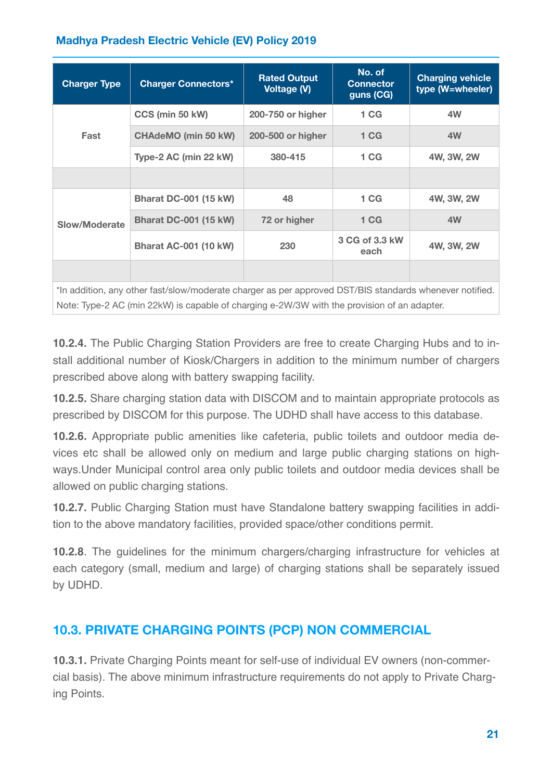| <b>Charger Type</b>                                                                                     | <b>Charger Connectors*</b>   | <b>Rated Output</b><br><b>Voltage (V)</b> | No. of<br><b>Connector</b><br>guns (CG) | <b>Charging vehicle</b><br>type (W=wheeler) |
|---------------------------------------------------------------------------------------------------------|------------------------------|-------------------------------------------|-----------------------------------------|---------------------------------------------|
| Fast                                                                                                    | CCS (min 50 kW)              | 200-750 or higher                         | 1 <sub>CG</sub>                         | 4W                                          |
|                                                                                                         | <b>CHAdeMO (min 50 kW)</b>   | 200-500 or higher                         | 1 <sub>CG</sub>                         | 4W                                          |
|                                                                                                         | Type-2 AC (min 22 kW)        | 380-415                                   | 1 <sub>CG</sub>                         | 4W, 3W, 2W                                  |
|                                                                                                         |                              |                                           |                                         |                                             |
| Slow/Moderate                                                                                           | <b>Bharat DC-001 (15 kW)</b> | 48                                        | 1 <sub>CG</sub>                         | 4W, 3W, 2W                                  |
|                                                                                                         | <b>Bharat DC-001 (15 kW)</b> | 72 or higher                              | 1 <sub>CG</sub>                         | 4W                                          |
|                                                                                                         | <b>Bharat AC-001 (10 kW)</b> | 230                                       | 3 CG of 3.3 kW<br>each                  | 4W, 3W, 2W                                  |
|                                                                                                         |                              |                                           |                                         |                                             |
| *In addition, any other fast/slow/moderate charger as per approved DST/BIS standards whenever notified. |                              |                                           |                                         |                                             |
| Note: Type-2 AC (min 22kW) is capable of charging e-2W/3W with the provision of an adapter.             |                              |                                           |                                         |                                             |

**10.2.4.** The Public Charging Station Providers are free to create Charging Hubs and to install additional number of Kiosk/Chargers in addition to the minimum number of chargers prescribed above along with battery swapping facility.

**10.2.5.** Share charging station data with DISCOM and to maintain appropriate protocols as prescribed by DISCOM for this purpose. The UDHD shall have access to this database.

**10.2.6.** Appropriate public amenities like cafeteria, public toilets and outdoor media devices etc shall be allowed only on medium and large public charging stations on highways.Under Municipal control area only public toilets and outdoor media devices shall be allowed on public charging stations.

**10.2.7.** Public Charging Station must have Standalone battery swapping facilities in addition to the above mandatory facilities, provided space/other conditions permit.

**10.2.8**. The guidelines for the minimum chargers/charging infrastructure for vehicles at each category (small, medium and large) of charging stations shall be separately issued by UDHD.

# **10.3. PRIVATE CHARGING POINTS (PCP) NON COMMERCIAL**

**10.3.1.** Private Charging Points meant for self-use of individual EV owners (non-commercial basis). The above minimum infrastructure requirements do not apply to Private Charging Points.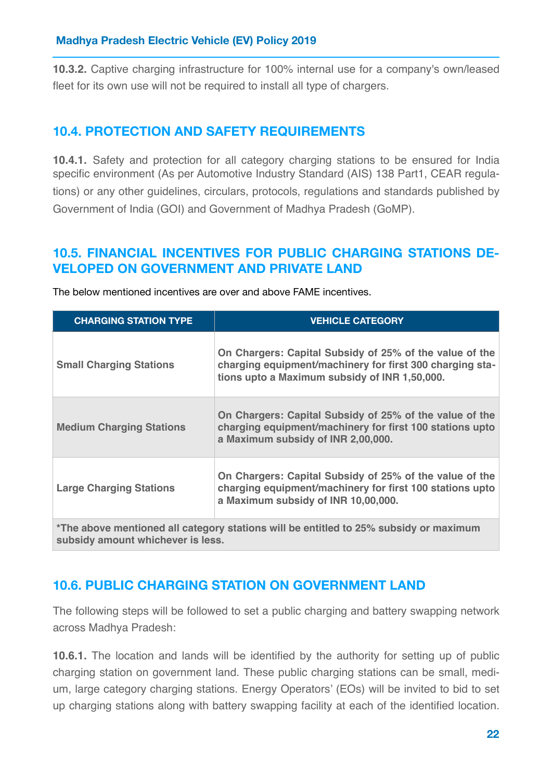**10.3.2.** Captive charging infrastructure for 100% internal use for a company's own/leased fleet for its own use will not be required to install all type of chargers.

# **10.4. PROTECTION AND SAFETY REQUIREMENTS**

**10.4.1.** Safety and protection for all category charging stations to be ensured for India specific environment (As per Automotive Industry Standard (AIS) 138 Part1, CEAR regulations) or any other guidelines, circulars, protocols, regulations and standards published by Government of India (GOI) and Government of Madhya Pradesh (GoMP).

### **10.5. FINANCIAL INCENTIVES FOR PUBLIC CHARGING STATIONS DE-VELOPED ON GOVERNMENT AND PRIVATE LAND**

| <b>CHARGING STATION TYPE</b>                                                                                               | <b>VEHICLE CATEGORY</b>                                                                                                                                              |  |
|----------------------------------------------------------------------------------------------------------------------------|----------------------------------------------------------------------------------------------------------------------------------------------------------------------|--|
| <b>Small Charging Stations</b>                                                                                             | On Chargers: Capital Subsidy of 25% of the value of the<br>charging equipment/machinery for first 300 charging sta-<br>tions upto a Maximum subsidy of INR 1,50,000. |  |
| <b>Medium Charging Stations</b>                                                                                            | On Chargers: Capital Subsidy of 25% of the value of the<br>charging equipment/machinery for first 100 stations upto<br>a Maximum subsidy of INR 2,00,000.            |  |
| <b>Large Charging Stations</b>                                                                                             | On Chargers: Capital Subsidy of 25% of the value of the<br>charging equipment/machinery for first 100 stations upto<br>a Maximum subsidy of INR 10,00,000.           |  |
| *The above mentioned all category stations will be entitled to 25% subsidy or maximum<br>subsidy amount whichever is less. |                                                                                                                                                                      |  |

The below mentioned incentives are over and above FAME incentives.

# **10.6. PUBLIC CHARGING STATION ON GOVERNMENT LAND**

The following steps will be followed to set a public charging and battery swapping network across Madhya Pradesh:

**10.6.1.** The location and lands will be identified by the authority for setting up of public charging station on government land. These public charging stations can be small, medium, large category charging stations. Energy Operators' (EOs) will be invited to bid to set up charging stations along with battery swapping facility at each of the identified location.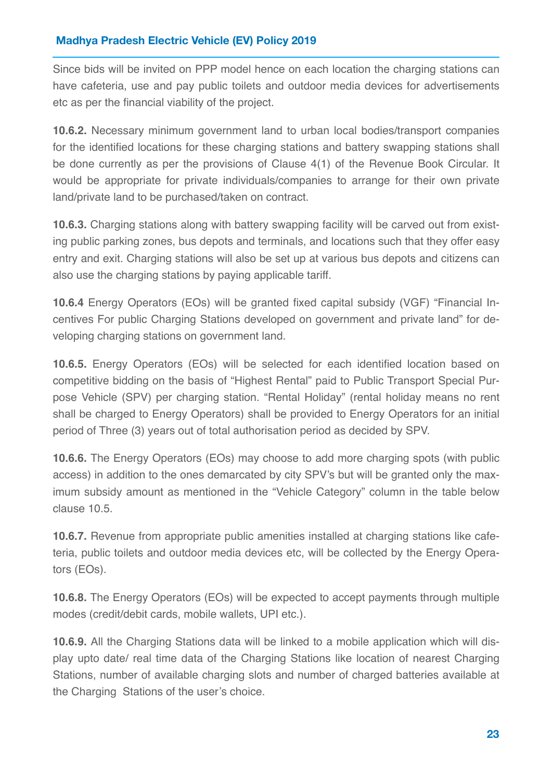Since bids will be invited on PPP model hence on each location the charging stations can have cafeteria, use and pay public toilets and outdoor media devices for advertisements etc as per the financial viability of the project.

**10.6.2.** Necessary minimum government land to urban local bodies/transport companies for the identified locations for these charging stations and battery swapping stations shall be done currently as per the provisions of Clause 4(1) of the Revenue Book Circular. It would be appropriate for private individuals/companies to arrange for their own private land/private land to be purchased/taken on contract.

**10.6.3.** Charging stations along with battery swapping facility will be carved out from existing public parking zones, bus depots and terminals, and locations such that they offer easy entry and exit. Charging stations will also be set up at various bus depots and citizens can also use the charging stations by paying applicable tariff.

**10.6.4** Energy Operators (EOs) will be granted fixed capital subsidy (VGF) "Financial Incentives For public Charging Stations developed on government and private land" for developing charging stations on government land.

**10.6.5.** Energy Operators (EOs) will be selected for each identified location based on competitive bidding on the basis of "Highest Rental" paid to Public Transport Special Purpose Vehicle (SPV) per charging station. "Rental Holiday" (rental holiday means no rent shall be charged to Energy Operators) shall be provided to Energy Operators for an initial period of Three (3) years out of total authorisation period as decided by SPV.

**10.6.6.** The Energy Operators (EOs) may choose to add more charging spots (with public access) in addition to the ones demarcated by city SPV's but will be granted only the maximum subsidy amount as mentioned in the "Vehicle Category" column in the table below clause 10.5.

**10.6.7.** Revenue from appropriate public amenities installed at charging stations like cafeteria, public toilets and outdoor media devices etc, will be collected by the Energy Operators (EOs).

**10.6.8.** The Energy Operators (EOs) will be expected to accept payments through multiple modes (credit/debit cards, mobile wallets, UPI etc.).

**10.6.9.** All the Charging Stations data will be linked to a mobile application which will display upto date/ real time data of the Charging Stations like location of nearest Charging Stations, number of available charging slots and number of charged batteries available at the Charging Stations of the user's choice.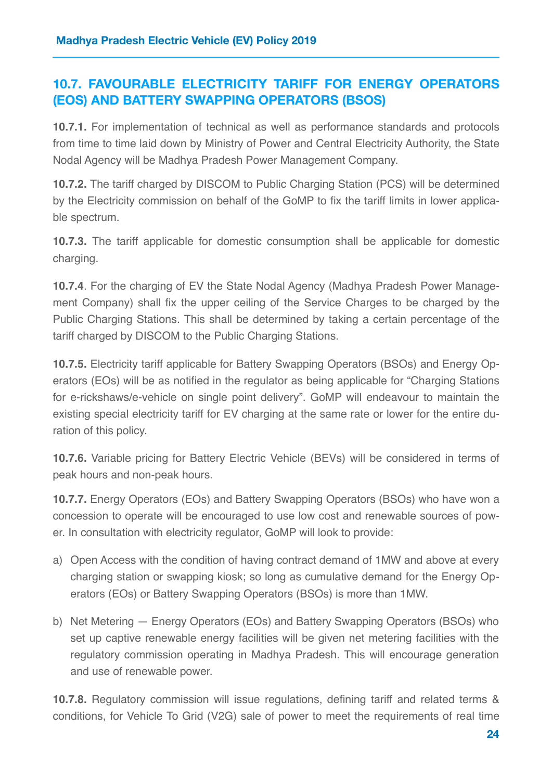### **10.7. FAVOURABLE ELECTRICITY TARIFF FOR ENERGY OPERATORS (EOS) AND BATTERY SWAPPING OPERATORS (BSOS)**

**10.7.1.** For implementation of technical as well as performance standards and protocols from time to time laid down by Ministry of Power and Central Electricity Authority, the State Nodal Agency will be Madhya Pradesh Power Management Company.

**10.7.2.** The tariff charged by DISCOM to Public Charging Station (PCS) will be determined by the Electricity commission on behalf of the GoMP to fix the tariff limits in lower applicable spectrum.

**10.7.3.** The tariff applicable for domestic consumption shall be applicable for domestic charging.

**10.7.4**. For the charging of EV the State Nodal Agency (Madhya Pradesh Power Management Company) shall fix the upper ceiling of the Service Charges to be charged by the Public Charging Stations. This shall be determined by taking a certain percentage of the tariff charged by DISCOM to the Public Charging Stations.

**10.7.5.** Electricity tariff applicable for Battery Swapping Operators (BSOs) and Energy Operators (EOs) will be as notified in the regulator as being applicable for "Charging Stations for e-rickshaws/e-vehicle on single point delivery". GoMP will endeavour to maintain the existing special electricity tariff for EV charging at the same rate or lower for the entire duration of this policy.

**10.7.6.** Variable pricing for Battery Electric Vehicle (BEVs) will be considered in terms of peak hours and non-peak hours.

**10.7.7.** Energy Operators (EOs) and Battery Swapping Operators (BSOs) who have won a concession to operate will be encouraged to use low cost and renewable sources of power. In consultation with electricity regulator, GoMP will look to provide:

- a) Open Access with the condition of having contract demand of 1MW and above at every charging station or swapping kiosk; so long as cumulative demand for the Energy Operators (EOs) or Battery Swapping Operators (BSOs) is more than 1MW.
- b) Net Metering Energy Operators (EOs) and Battery Swapping Operators (BSOs) who set up captive renewable energy facilities will be given net metering facilities with the regulatory commission operating in Madhya Pradesh. This will encourage generation and use of renewable power.

**10.7.8.** Regulatory commission will issue regulations, defining tariff and related terms & conditions, for Vehicle To Grid (V2G) sale of power to meet the requirements of real time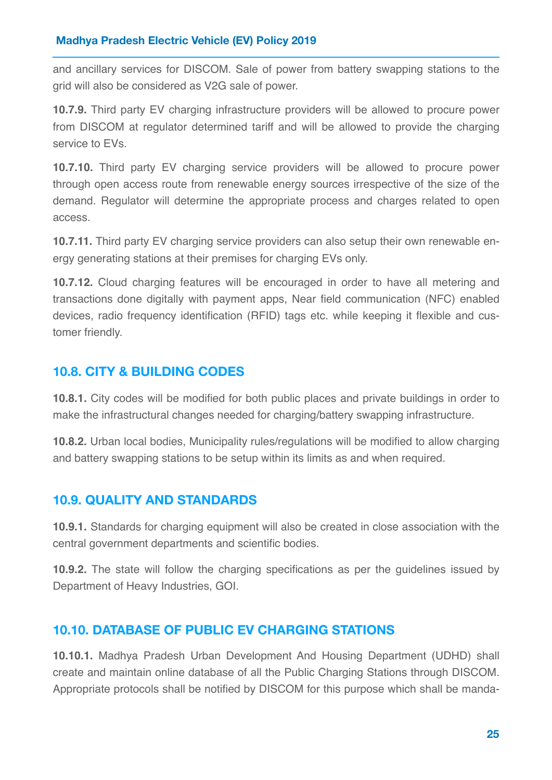and ancillary services for DISCOM. Sale of power from battery swapping stations to the grid will also be considered as V2G sale of power.

**10.7.9.** Third party EV charging infrastructure providers will be allowed to procure power from DISCOM at regulator determined tariff and will be allowed to provide the charging service to EVs.

**10.7.10.** Third party EV charging service providers will be allowed to procure power through open access route from renewable energy sources irrespective of the size of the demand. Regulator will determine the appropriate process and charges related to open access.

**10.7.11.** Third party EV charging service providers can also setup their own renewable energy generating stations at their premises for charging EVs only.

**10.7.12.** Cloud charging features will be encouraged in order to have all metering and transactions done digitally with payment apps, Near field communication (NFC) enabled devices, radio frequency identification (RFID) tags etc. while keeping it flexible and customer friendly.

### <span id="page-25-0"></span>**10.8. CITY & BUILDING CODES**

**10.8.1.** City codes will be modified for both public places and private buildings in order to make the infrastructural changes needed for charging/battery swapping infrastructure.

**10.8.2.** Urban local bodies, Municipality rules/regulations will be modified to allow charging and battery swapping stations to be setup within its limits as and when required.

### **10.9. QUALITY AND STANDARDS**

**10.9.1.** Standards for charging equipment will also be created in close association with the central government departments and scientific bodies.

**10.9.2.** The state will follow the charging specifications as per the guidelines issued by Department of Heavy Industries, GOI.

### **10.10. DATABASE OF PUBLIC EV CHARGING STATIONS**

**10.10.1.** Madhya Pradesh Urban Development And Housing Department (UDHD) shall create and maintain online database of all the Public Charging Stations through DISCOM. Appropriate protocols shall be notified by DISCOM for this purpose which shall be manda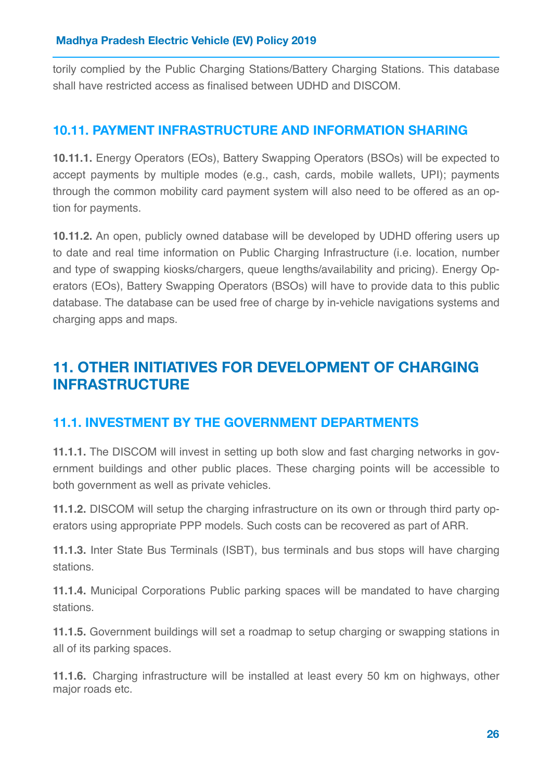torily complied by the Public Charging Stations/Battery Charging Stations. This database shall have restricted access as finalised between UDHD and DISCOM.

### **10.11. PAYMENT INFRASTRUCTURE AND INFORMATION SHARING**

**10.11.1.** Energy Operators (EOs), Battery Swapping Operators (BSOs) will be expected to accept payments by multiple modes (e.g., cash, cards, mobile wallets, UPI); payments through the common mobility card payment system will also need to be offered as an option for payments.

**10.11.2.** An open, publicly owned database will be developed by UDHD offering users up to date and real time information on Public Charging Infrastructure (i.e. location, number and type of swapping kiosks/chargers, queue lengths/availability and pricing). Energy Operators (EOs), Battery Swapping Operators (BSOs) will have to provide data to this public database. The database can be used free of charge by in-vehicle navigations systems and charging apps and maps.

# **11. OTHER INITIATIVES FOR DEVELOPMENT OF CHARGING INFRASTRUCTURE**

### **11.1. INVESTMENT BY THE GOVERNMENT DEPARTMENTS**

<span id="page-26-0"></span>**11.1.1.** The DISCOM will invest in setting up both slow and fast charging networks in government buildings and other public places. These charging points will be accessible to both government as well as private vehicles.

**11.1.2.** DISCOM will setup the charging infrastructure on its own or through third party operators using appropriate PPP models. Such costs can be recovered as part of ARR.

**11.1.3.** Inter State Bus Terminals (ISBT), bus terminals and bus stops will have charging stations.

**11.1.4.** Municipal Corporations Public parking spaces will be mandated to have charging stations.

**11.1.5.** Government buildings will set a roadmap to setup charging or swapping stations in all of its parking spaces.

**11.1.6.** Charging infrastructure will be installed at least every 50 km on highways, other major roads etc.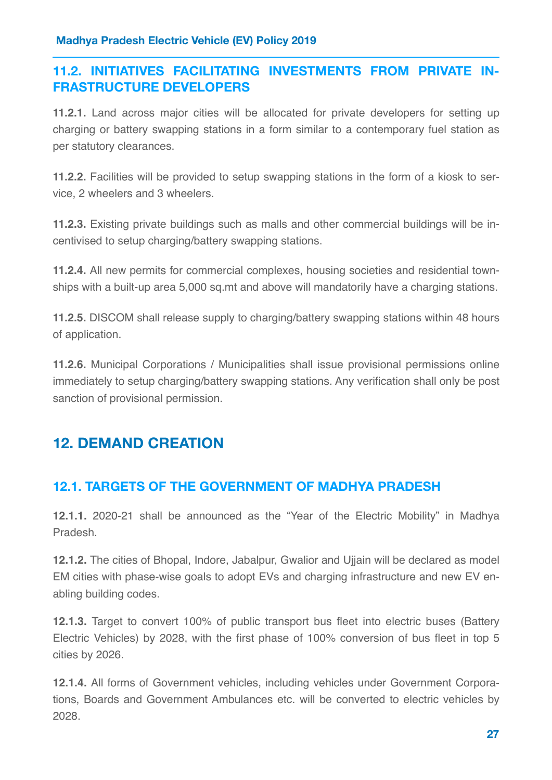# **11.2. INITIATIVES FACILITATING INVESTMENTS FROM PRIVATE IN-FRASTRUCTURE DEVELOPERS**

**11.2.1.** Land across major cities will be allocated for private developers for setting up charging or battery swapping stations in a form similar to a contemporary fuel station as per statutory clearances.

**11.2.2.** Facilities will be provided to setup swapping stations in the form of a kiosk to service, 2 wheelers and 3 wheelers.

**11.2.3.** Existing private buildings such as malls and other commercial buildings will be incentivised to setup charging/battery swapping stations.

**11.2.4.** All new permits for commercial complexes, housing societies and residential townships with a built-up area 5,000 sq.mt and above will mandatorily have a charging stations.

**11.2.5.** DISCOM shall release supply to charging/battery swapping stations within 48 hours of application.

**11.2.6.** Municipal Corporations / Municipalities shall issue provisional permissions online immediately to setup charging/battery swapping stations. Any verification shall only be post sanction of provisional permission.

# **12. DEMAND CREATION**

# **12.1. TARGETS OF THE GOVERNMENT OF MADHYA PRADESH**

**12.1.1.** 2020-21 shall be announced as the "Year of the Electric Mobility" in Madhya Pradesh.

**12.1.2.** The cities of Bhopal, Indore, Jabalpur, Gwalior and Ujjain will be declared as model EM cities with phase-wise goals to adopt EVs and charging infrastructure and new EV enabling building codes.

**12.1.3.** Target to convert 100% of public transport bus fleet into electric buses (Battery Electric Vehicles) by 2028, with the first phase of 100% conversion of bus fleet in top 5 cities by 2026.

**12.1.4.** All forms of Government vehicles, including vehicles under Government Corporations, Boards and Government Ambulances etc. will be converted to electric vehicles by 2028.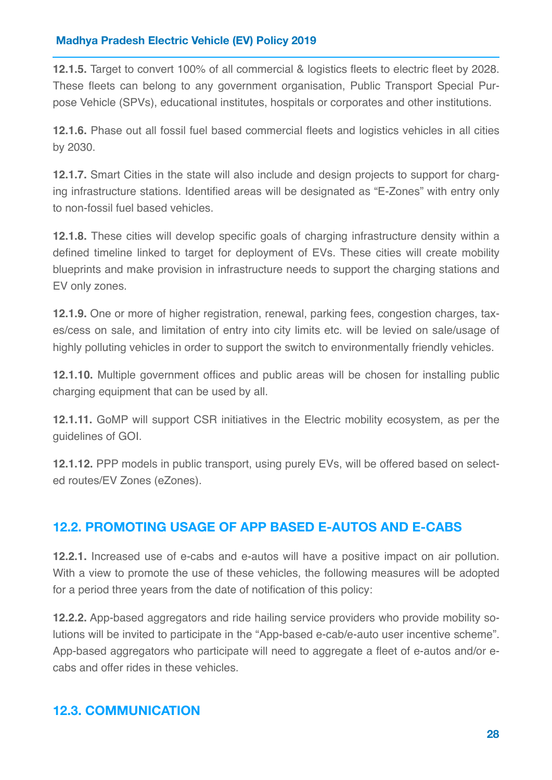**12.1.5.** Target to convert 100% of all commercial & logistics fleets to electric fleet by 2028. These fleets can belong to any government organisation, Public Transport Special Purpose Vehicle (SPVs), educational institutes, hospitals or corporates and other institutions.

**12.1.6.** Phase out all fossil fuel based commercial fleets and logistics vehicles in all cities by 2030.

**12.1.7.** Smart Cities in the state will also include and design projects to support for charging infrastructure stations. Identified areas will be designated as "E-Zones" with entry only to non-fossil fuel based vehicles.

<span id="page-28-0"></span>**12.1.8.** These cities will develop specific goals of charging infrastructure density within a defined timeline linked to target for deployment of EVs. These cities will create mobility blueprints and make provision in infrastructure needs to support the charging stations and EV only zones.

**12.1.9.** One or more of higher registration, renewal, parking fees, congestion charges, taxes/cess on sale, and limitation of entry into city limits etc. will be levied on sale/usage of highly polluting vehicles in order to support the switch to environmentally friendly vehicles.

**12.1.10.** Multiple government offices and public areas will be chosen for installing public charging equipment that can be used by all.

**12.1.11.** GoMP will support CSR initiatives in the Electric mobility ecosystem, as per the guidelines of GOI.

**12.1.12.** PPP models in public transport, using purely EVs, will be offered based on selected routes/EV Zones (eZones).

# **12.2. PROMOTING USAGE OF APP BASED E-AUTOS AND E-CABS**

**12.2.1.** Increased use of e-cabs and e-autos will have a positive impact on air pollution. With a view to promote the use of these vehicles, the following measures will be adopted for a period three years from the date of notification of this policy:

**12.2.2.** App-based aggregators and ride hailing service providers who provide mobility solutions will be invited to participate in the "App-based e-cab/e-auto user incentive scheme". App-based aggregators who participate will need to aggregate a fleet of e-autos and/or ecabs and offer rides in these vehicles.

### **12.3. COMMUNICATION**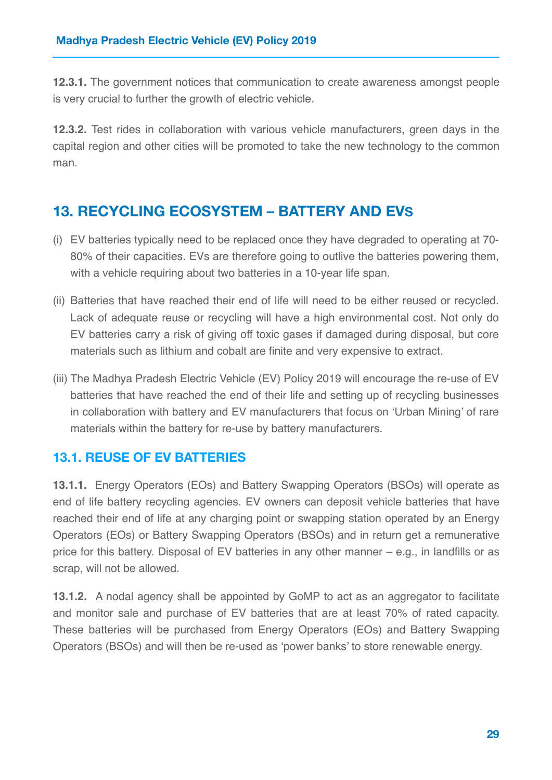**12.3.1.** The government notices that communication to create awareness amongst people is very crucial to further the growth of electric vehicle.

**12.3.2.** Test rides in collaboration with various vehicle manufacturers, green days in the capital region and other cities will be promoted to take the new technology to the common man.

# **13. RECYCLING ECOSYSTEM – BATTERY AND EVS**

- (i) EV batteries typically need to be replaced once they have degraded to operating at 70- 80% of their capacities. EVs are therefore going to outlive the batteries powering them, with a vehicle requiring about two batteries in a 10-year life span.
- <span id="page-29-0"></span>(ii) Batteries that have reached their end of life will need to be either reused or recycled. Lack of adequate reuse or recycling will have a high environmental cost. Not only do EV batteries carry a risk of giving off toxic gases if damaged during disposal, but core materials such as lithium and cobalt are finite and very expensive to extract.
- (iii) The Madhya Pradesh Electric Vehicle (EV) Policy 2019 will encourage the re-use of EV batteries that have reached the end of their life and setting up of recycling businesses in collaboration with battery and EV manufacturers that focus on 'Urban Mining' of rare materials within the battery for re-use by battery manufacturers.

# **13.1. REUSE OF EV BATTERIES**

<span id="page-29-1"></span>**13.1.1.** Energy Operators (EOs) and Battery Swapping Operators (BSOs) will operate as end of life battery recycling agencies. EV owners can deposit vehicle batteries that have reached their end of life at any charging point or swapping station operated by an Energy Operators (EOs) or Battery Swapping Operators (BSOs) and in return get a remunerative price for this battery. Disposal of EV batteries in any other manner – e.g., in landfills or as scrap, will not be allowed.

**13.1.2.** A nodal agency shall be appointed by GoMP to act as an aggregator to facilitate and monitor sale and purchase of EV batteries that are at least 70% of rated capacity. These batteries will be purchased from Energy Operators (EOs) and Battery Swapping Operators (BSOs) and will then be re-used as 'power banks' to store renewable energy.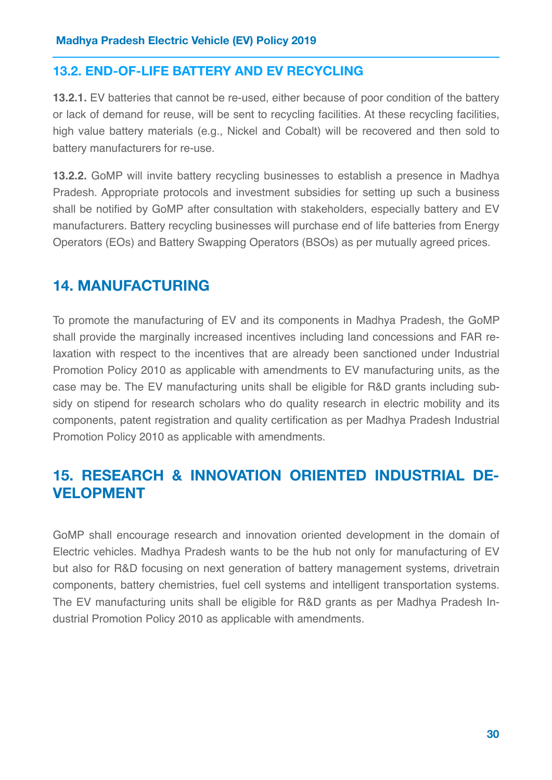## **13.2. END-OF-LIFE BATTERY AND EV RECYCLING**

**13.2.1.** EV batteries that cannot be re-used, either because of poor condition of the battery or lack of demand for reuse, will be sent to recycling facilities. At these recycling facilities, high value battery materials (e.g., Nickel and Cobalt) will be recovered and then sold to battery manufacturers for re-use.

**13.2.2.** GoMP will invite battery recycling businesses to establish a presence in Madhya Pradesh. Appropriate protocols and investment subsidies for setting up such a business shall be notified by GoMP after consultation with stakeholders, especially battery and EV manufacturers. Battery recycling businesses will purchase end of life batteries from Energy Operators (EOs) and Battery Swapping Operators (BSOs) as per mutually agreed prices.

# **14. MANUFACTURING**

<span id="page-30-0"></span>To promote the manufacturing of EV and its components in Madhya Pradesh, the GoMP shall provide the marginally increased incentives including land concessions and FAR relaxation with respect to the incentives that are already been sanctioned under Industrial Promotion Policy 2010 as applicable with amendments to EV manufacturing units, as the case may be. The EV manufacturing units shall be eligible for R&D grants including subsidy on stipend for research scholars who do quality research in electric mobility and its components, patent registration and quality certification as per Madhya Pradesh Industrial Promotion Policy 2010 as applicable with amendments.

# **15. RESEARCH & INNOVATION ORIENTED INDUSTRIAL DE-VELOPMENT**

GoMP shall encourage research and innovation oriented development in the domain of Electric vehicles. Madhya Pradesh wants to be the hub not only for manufacturing of EV but also for R&D focusing on next generation of battery management systems, drivetrain components, battery chemistries, fuel cell systems and intelligent transportation systems. The EV manufacturing units shall be eligible for R&D grants as per Madhya Pradesh Industrial Promotion Policy 2010 as applicable with amendments.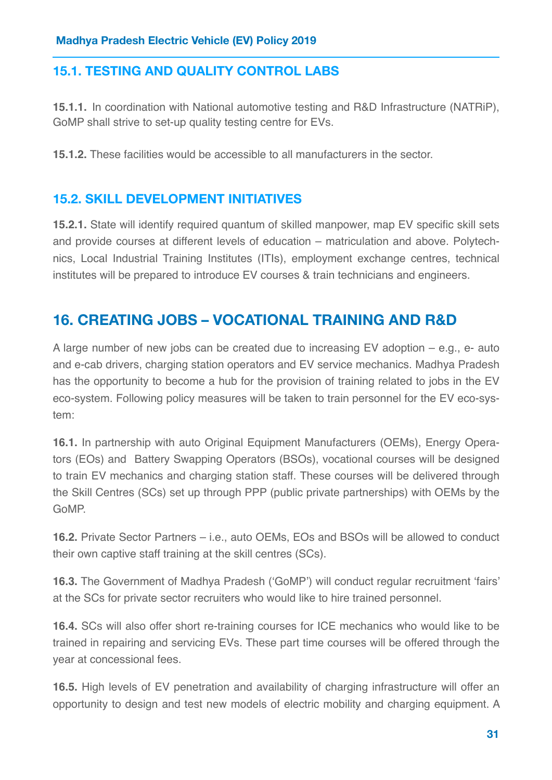# **15.1. TESTING AND QUALITY CONTROL LABS**

**15.1.1.** In coordination with National automotive testing and R&D Infrastructure (NATRiP), GoMP shall strive to set-up quality testing centre for EVs.

<span id="page-31-0"></span>**15.1.2.** These facilities would be accessible to all manufacturers in the sector.

# **15.2. SKILL DEVELOPMENT INITIATIVES**

**15.2.1.** State will identify required quantum of skilled manpower, map EV specific skill sets and provide courses at different levels of education – matriculation and above. Polytechnics, Local Industrial Training Institutes (ITIs), employment exchange centres, technical institutes will be prepared to introduce EV courses & train technicians and engineers.

# **16. CREATING JOBS – VOCATIONAL TRAINING AND R&D**

A large number of new jobs can be created due to increasing EV adoption – e.g., e- auto and e-cab drivers, charging station operators and EV service mechanics. Madhya Pradesh has the opportunity to become a hub for the provision of training related to jobs in the EV eco-system. Following policy measures will be taken to train personnel for the EV eco-system:

**16.1.** In partnership with auto Original Equipment Manufacturers (OEMs), Energy Operators (EOs) and Battery Swapping Operators (BSOs), vocational courses will be designed to train EV mechanics and charging station staff. These courses will be delivered through the Skill Centres (SCs) set up through PPP (public private partnerships) with OEMs by the GoMP.

**16.2.** Private Sector Partners – i.e., auto OEMs, EOs and BSOs will be allowed to conduct their own captive staff training at the skill centres (SCs).

**16.3.** The Government of Madhya Pradesh ('GoMP') will conduct regular recruitment 'fairs' at the SCs for private sector recruiters who would like to hire trained personnel.

**16.4.** SCs will also offer short re-training courses for ICE mechanics who would like to be trained in repairing and servicing EVs. These part time courses will be offered through the year at concessional fees.

**16.5.** High levels of EV penetration and availability of charging infrastructure will offer an opportunity to design and test new models of electric mobility and charging equipment. A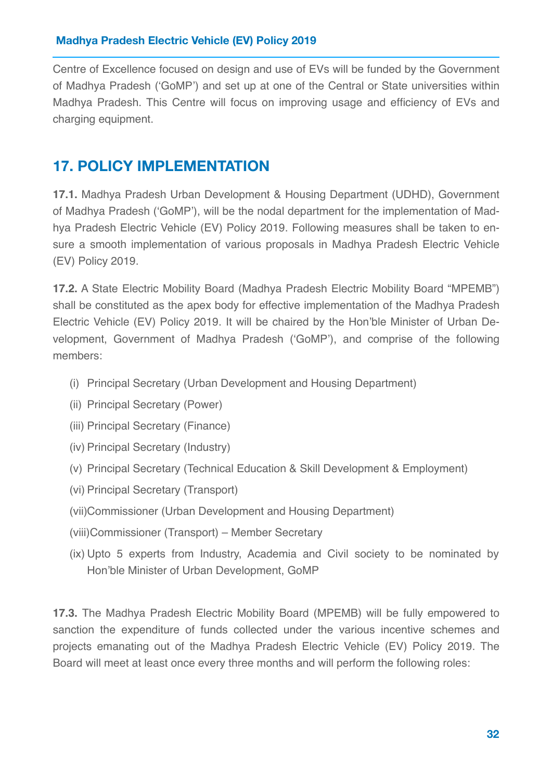Centre of Excellence focused on design and use of EVs will be funded by the Government of Madhya Pradesh ('GoMP') and set up at one of the Central or State universities within Madhya Pradesh. This Centre will focus on improving usage and efficiency of EVs and charging equipment.

# **17. POLICY IMPLEMENTATION**

**17.1.** Madhya Pradesh Urban Development & Housing Department (UDHD), Government of Madhya Pradesh ('GoMP'), will be the nodal department for the implementation of Madhya Pradesh Electric Vehicle (EV) Policy 2019. Following measures shall be taken to ensure a smooth implementation of various proposals in Madhya Pradesh Electric Vehicle (EV) Policy 2019.

**17.2.** A State Electric Mobility Board (Madhya Pradesh Electric Mobility Board "MPEMB") shall be constituted as the apex body for effective implementation of the Madhya Pradesh Electric Vehicle (EV) Policy 2019. It will be chaired by the Hon'ble Minister of Urban Development, Government of Madhya Pradesh ('GoMP'), and comprise of the following members:

- (i) Principal Secretary (Urban Development and Housing Department)
- (ii) Principal Secretary (Power)
- (iii) Principal Secretary (Finance)
- (iv) Principal Secretary (Industry)
- <span id="page-32-0"></span>(v) Principal Secretary (Technical Education & Skill Development & Employment)
- (vi) Principal Secretary (Transport)
- (vii)Commissioner (Urban Development and Housing Department)
- (viii)Commissioner (Transport) Member Secretary
- (ix) Upto 5 experts from Industry, Academia and Civil society to be nominated by Hon'ble Minister of Urban Development, GoMP

<span id="page-32-1"></span>**17.3.** The Madhya Pradesh Electric Mobility Board (MPEMB) will be fully empowered to sanction the expenditure of funds collected under the various incentive schemes and projects emanating out of the Madhya Pradesh Electric Vehicle (EV) Policy 2019. The Board will meet at least once every three months and will perform the following roles: